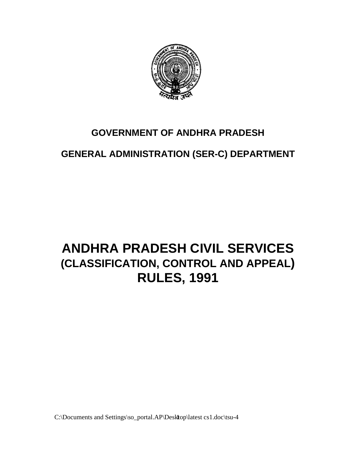

## **GOVERNMENT OF ANDHRA PRADESH**

# **GENERAL ADMINISTRATION (SER-C) DEPARTMENT**

# **ANDHRA PRADESH CIVIL SERVICES (CLASSIFICATION, CONTROL AND APPEAL) RULES, 1991**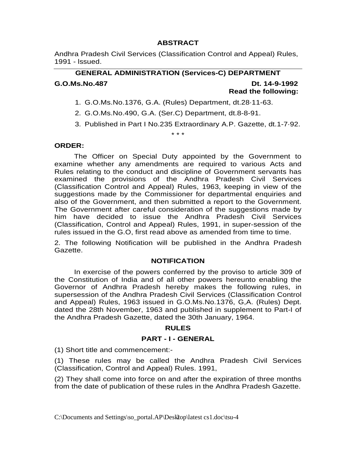## **ABSTRACT**

Andhra Pradesh Civil Services (Classification Control and Appeal) Rules, 1991 - lssued.

## **GENERAL ADMINISTRATION (Services-C) DEPARTMENT G.O.Ms.No.487 Dt. 14-9-1992 Read the following:**

## 1. G.O.Ms.No.1376, G.A. (Rules) Department, dt.28·11-63.

\* \* \*

- 2. G.O.Ms.No.490, G.A. (Ser.C) Department, dt.8-8-91.
- 3. Published in Part I No.235 Extraordinary A.P. Gazette, dt.1-7·92.

#### **ORDER:**

 The Officer on Special Duty appointed by the Government to examine whether any amendments are required to various Acts and Rules relating to the conduct and discipline of Government servants has examined the provisions of the Andhra Pradesh Civil Services (Classification Control and Appeal) Rules, 1963, keeping in view of the suggestions made by the Commissioner for departmental enquiries and also of the Government, and then submitted a report to the Government. The Government after careful consideration of the suggestions made by him have decided to issue the Andhra Pradesh Civil Services (Classification, Control and Appeal) Rules, 1991, in super-session of the rules issued in the G.O, first read above as amended from time to time.

2. The following Notification will be published in the Andhra Pradesh Gazette.

#### **NOTIFICATION**

 In exercise of the powers conferred by the proviso to article 309 of the Constitution of India and of all other powers hereunto enabling the Governor of Andhra Pradesh hereby makes the following rules, in supersession of the Andhra Pradesh Civil Services (Classification Control and Appeal) Rules, 1963 issued in G.O.Ms.No.1376, G,A. (Rules) Dept. dated the 28th November, 1963 and published in supplement to Part-I of the Andhra Pradesh Gazette, dated the 30th January, 1964.

#### **RULES**

#### **PART - I - GENERAL**

(1) Short title and commencement:-

(1) These rules may be called the Andhra Pradesh Civil Services (Classification, Control and Appeal) Rules. 1991,

(2) They shall come into force on and after the expiration of three months from the date of publication of these rules in the Andhra Pradesh Gazette.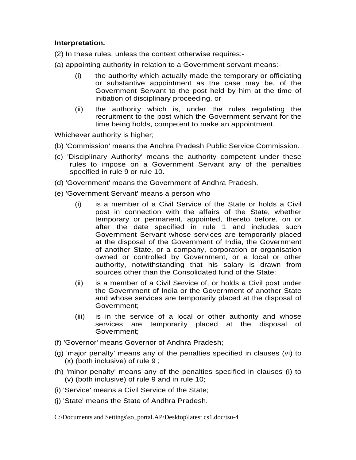## **Interpretation.**

- (2) In these rules, unless the context otherwise requires:-
- (a) appointing authority in relation to a Government servant means:-
	- (i) the authority which actually made the temporary or officiating or substantive appointment as the case may be, of the Government Servant to the post held by him at the time of initiation of disciplinary proceeding, or
	- (ii) the authority which is, under the rules regulating the recruitment to the post which the Government servant for the time being holds, competent to make an appointment.

Whichever authority is higher;

- (b) 'Commission' means the Andhra Pradesh Public Service Commission.
- (c) 'Disciplinary Authority' means the authority competent under these rules to impose on a Government Servant any of the penalties specified in rule 9 or rule 10.
- (d) 'Government' means the Government of Andhra Pradesh.
- (e) 'Government Servant' means a person who
	- (i) is a member of a Civil Service of the State or holds a Civil post in connection with the affairs of the State, whether temporary or permanent, appointed, thereto before, on or after the date specified in rule 1 and includes such Government Servant whose services are temporarily placed at the disposal of the Government of India, the Government of another State, or a company, corporation or organisation owned or controlled by Government, or a local or other authority, notwithstanding that his salary is drawn from sources other than the Consolidated fund of the State;
	- (ii) is a member of a Civil Service of, or holds a Civil post under the Government of India or the Government of another State and whose services are temporarily placed at the disposal of Government;
	- (iii) is in the service of a local or other authority and whose services are temporarily placed at the disposal of Government;
- (f) 'Governor' means Governor of Andhra Pradesh;
- (g) 'major penalty' means any of the penalties specified in clauses (vi) to (x) (both inclusive) of rule 9 ;
- (h) 'minor penalty' means any of the penalties specified in clauses (i) to (v) (both inclusive) of rule 9 and in rule 10;
- (i) 'Service' means a Civil Service of the State;
- (j) 'State' means the State of Andhra Pradesh.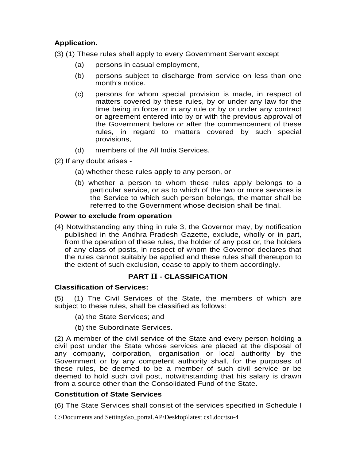## **Application.**

(3) (1) These rules shall apply to every Government Servant except

- (a) persons in casual employment,
- (b) persons subject to discharge from service on less than one month's notice.
- (c) persons for whom special provision is made, in respect of matters covered by these rules, by or under any law for the time being in force or in any rule or by or under any contract or agreement entered into by or with the previous approval of the Government before or after the commencement of these rules, in regard to matters covered by such special provisions,
- (d) members of the All India Services.
- (2) If any doubt arises
	- (a) whether these rules apply to any person, or
	- (b) whether a person to whom these rules apply belongs to a particular service, or as to which of the two or more services is the Service to which such person belongs, the matter shall be referred to the Government whose decision shall be final.

## **Power to exclude from operation**

(4) Notwithstanding any thing in rule 3, the Governor may, by notification published in the Andhra Pradesh Gazette, exclude, wholly or in part, from the operation of these rules, the holder of any post or, the holders of any class of posts, in respect of whom the Governor declares that the rules cannot suitably be applied and these rules shall thereupon to the extent of such exclusion, cease to apply to them accordingly.

## **PART II - CLASSIFICATION**

## **Classification of Services:**

(5) (1) The Civil Services of the State, the members of which are subject to these rules, shall be classified as follows:

- (a) the State Services; and
- (b) the Subordinate Services.

(2) A member of the civil service of the State and every person holding a civil post under the State whose services are placed at the disposal of any company, corporation, organisation or local authority by the Government or by any competent authority shall, for the purposes of these rules, be deemed to be a member of such civil service or be deemed to hold such civil post, notwithstanding that his salary is drawn from a source other than the Consolidated Fund of the State.

## **Constitution of State Services**

(6) The State Services shall consist of the services specified in Schedule I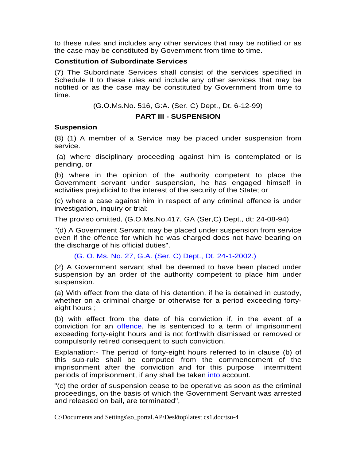to these rules and includes any other services that may be notified or as the case may be constituted by Government from time to time.

#### **Constitution of Subordinate Services**

(7) The Subordinate Services shall consist of the services specified in Schedule II to these rules and include any other services that may be notified or as the case may be constituted by Government from time to time.

(G.O.Ms.No. 516, G:A. (Ser. C) Dept., Dt. 6-12-99)

#### **PART III - SUSPENSION**

#### **Suspension**

(8) (1) A member of a Service may be placed under suspension from service.

 (a) where disciplinary proceeding against him is contemplated or is pending, or

(b) where in the opinion of the authority competent to place the Government servant under suspension, he has engaged himself in activities prejudicial to the interest of the security of the State; or

(c) where a case against him in respect of any criminal offence is under investigation, inquiry or trial:

The proviso omitted, (G.O.Ms.No.417, GA (Ser,C) Dept., dt: 24-08-94)

"(d) A Government Servant may be placed under suspension from service even if the offence for which he was charged does not have bearing on the discharge of his official duties".

(G. O. Ms. No. 27, G.A. (Ser. C) Dept., Dt. 24-1-2002.)

(2) A Government servant shall be deemed to have been placed under suspension by an order of the authority competent to place him under suspension.

(a) With effect from the date of his detention, if he is detained in custody, whether on a criminal charge or otherwise for a period exceeding fortyeight hours ;

(b) with effect from the date of his conviction if, in the event of a conviction for an offence, he is sentenced to a term of imprisonment exceeding forty-eight hours and is not forthwith dismissed or removed or compulsorily retired consequent to such conviction.

Explanation:- The period of forty-eight hours referred to in clause (b) of this sub-rule shall be computed from the commencement of the imprisonment after the conviction and for this purpose intermittent periods of imprisonment, if any shall be taken into account.

"(c) the order of suspension cease to be operative as soon as the criminal proceedings, on the basis of which the Government Servant was arrested and released on bail, are terminated",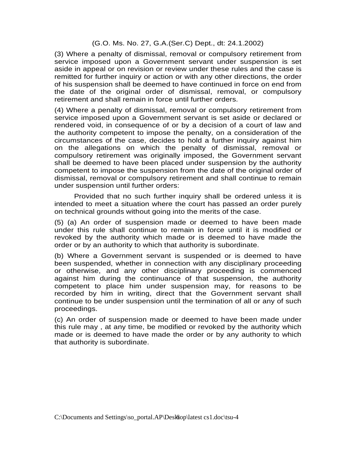#### (G.O. Ms. No. 27, G.A.(Ser.C) Dept., dt: 24.1.2002)

(3) Where a penalty of dismissal, removal or compulsory retirement from service imposed upon a Government servant under suspension is set aside in appeal or on revision or review under these rules and the case is remitted for further inquiry or action or with any other directions, the order of his suspension shall be deemed to have continued in force on end from the date of the original order of dismissal, removal, or compulsory retirement and shall remain in force until further orders.

(4) Where a penalty of dismissal, removal or compulsory retirement from service imposed upon a Government servant is set aside or declared or rendered void, in consequence of or by a decision of a court of law and the authority competent to impose the penalty, on a consideration of the circumstances of the case, decides to hold a further inquiry against him on the allegations on which the penalty of dismissal, removal or compulsory retirement was originally imposed, the Government servant shall be deemed to have been placed under suspension by the authority competent to impose the suspension from the date of the original order of dismissal, removal or compulsory retirement and shall continue to remain under suspension until further orders:

 Provided that no such further inquiry shall be ordered unless it is intended to meet a situation where the court has passed an order purely on technical grounds without going into the merits of the case.

(5) (a) An order of suspension made or deemed to have been made under this rule shall continue to remain in force until it is modified or revoked by the authority which made or is deemed to have made the order or by an authority to which that authority is subordinate.

(b) Where a Government servant is suspended or is deemed to have been suspended, whether in connection with any disciplinary proceeding or otherwise, and any other disciplinary proceeding is commenced against him during the continuance of that suspension, the authority competent to place him under suspension may, for reasons to be recorded by him in writing, direct that the Government servant shall continue to be under suspension until the termination of all or any of such proceedings.

(c) An order of suspension made or deemed to have been made under this rule may , at any time, be modified or revoked by the authority which made or is deemed to have made the order or by any authority to which that authority is subordinate.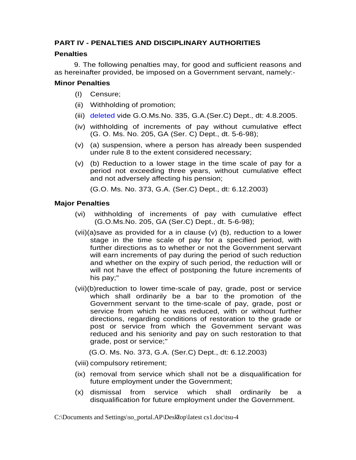## **PART IV - PENALTIES AND DISCIPLINARY AUTHORITIES**

## **Penalties**

 9. The following penalties may, for good and sufficient reasons and as hereinafter provided, be imposed on a Government servant, namely:-

## **Minor Penalties**

- (I) Censure;
- (ii) Withholding of promotion;
- (iii) deleted vide G.O.Ms.No. 335, G.A.(Ser.C) Dept., dt: 4.8.2005.
- (iv) withholding of increments of pay without cumulative effect (G. O. Ms. No. 205, GA (Ser. C) Dept., dt. 5-6-98);
- (v) (a) suspension, where a person has already been suspended under rule 8 to the extent considered necessary;
- (v) (b) Reduction to a lower stage in the time scale of pay for a period not exceeding three years, without cumulative effect and not adversely affecting his pension;

(G.O. Ms. No. 373, G.A. (Ser.C) Dept., dt: 6.12.2003)

## **Major Penalties**

- (vi) withholding of increments of pay with cumulative effect (G.O.Ms.No. 205, GA (Ser.C) Dept., dt. 5-6-98);
- (vii)(a)save as provided for a in clause (v) (b), reduction to a lower stage in the time scale of pay for a specified period, with further directions as to whether or not the Government servant will earn increments of pay during the period of such reduction and whether on the expiry of such period, the reduction will or will not have the effect of postponing the future increments of his pay;"
- (vii)(b)reduction to lower time-scale of pay, grade, post or service which shall ordinarily be a bar to the promotion of the Government servant to the time-scale of pay, grade, post or service from which he was reduced, with or without further directions, regarding conditions of restoration to the grade or post or service from which the Government servant was reduced and his seniority and pay on such restoration to that grade, post or service;"

(G.O. Ms. No. 373, G.A. (Ser.C) Dept., dt: 6.12.2003)

(viii) compulsory retirement;

- (ix) removal from service which shall not be a disqualification for future employment under the Government;
- (x) dismissal from service which shall ordinarily be a disqualification for future employment under the Government.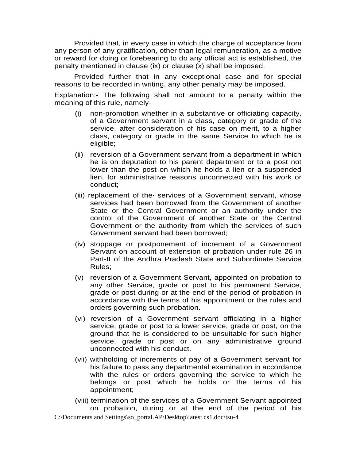Provided that, in every case in which the charge of acceptance from any person of any gratification, other than legal remuneration, as a motive or reward for doing or forebearing to do any official act is established, the penalty mentioned in clause (ix) or clause (x) shall be imposed.

 Provided further that in any exceptional case and for special reasons to be recorded in writing, any other penalty may be imposed.

Explanation:- The following shall not amount to a penalty within the meaning of this rule, namely-

- (i) non-promotion whether in a substantive or officiating capacity, of a Government servant in a class, category or grade of the service, after consideration of his case on merit, to a higher class, category or grade in the same Service to which he is eligible;
- (ii) reversion of a Government servant from a department in which he is on deputation to his parent department or to a post not lower than the post on which he holds a lien or a suspended lien, for administrative reasons unconnected with his work or conduct;
- (iii) replacement of the· services of a Government servant, whose services had been borrowed from the Government of another State or the Central Government or an authority under the control of the Government of another State or the Central Government or the authority from which the services of such Government servant had been borrowed;
- (iv) stoppage or postponement of increment of a Government Servant on account of extension of probation under rule 26 in Part-II of the Andhra Pradesh State and Subordinate Service Rules;
- (v) reversion of a Government Servant, appointed on probation to any other Service, grade or post to his permanent Service, grade or post during or at the end of the period of probation in accordance with the terms of his appointment or the rules and orders governing such probation.
- (vi) reversion of a Government servant officiating in a higher service, grade or post to a lower service, grade or post, on the ground that he is considered to be unsuitable for such higher service, grade or post or on any administrative ground unconnected with his conduct.
- (vii) withholding of increments of pay of a Government servant for his failure to pass any departmental examination in accordance with the rules or orders governing the service to which he belongs or post which he holds or the terms of his appointment;

C:\Documents and Settings\so\_portal.AP\Deskop\latest cs1.doc\tsu-4 (viii) termination of the services of a Government Servant appointed on probation, during or at the end of the period of his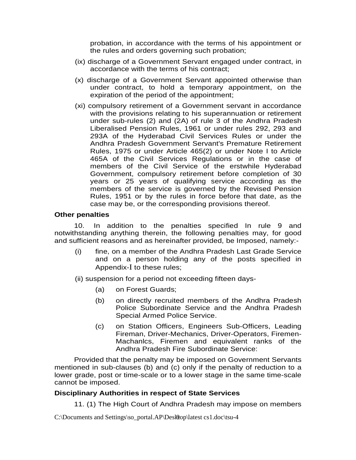probation, in accordance with the terms of his appointment or the rules and orders governing such probation;

- (ix) discharge of a Government Servant engaged under contract, in accordance with the terms of his contract;
- (x) discharge of a Government Servant appointed otherwise than under contract, to hold a temporary appointment, on the expiration of the period of the appointment;
- (xi) compulsory retirement of a Government servant in accordance with the provisions relating to his superannuation or retirement under sub-rules (2) and (2A) of rule 3 of the Andhra Pradesh Liberalised Pension Rules, 1961 or under rules 292, 293 and 293A of the Hyderabad Civil Services Rules or under the Andhra Pradesh Government Servant's Premature Retirement Rules, 1975 or under Article 465(2) or under Note I to Article 465A of the Civil Services Regulations or in the case of members of the Civil Service of the erstwhile Hyderabad Government, compulsory retirement before completion of 30 years or 25 years of qualifying service according as the members of the service is governed by the Revised Pension Rules, 1951 or by the rules in force before that date, as the case may be, or the corresponding provisions thereof.

#### **Other penalties**

 10. In addition to the penalties specified In rule 9 and notwithstanding anything therein, the following penalties may, for good and sufficient reasons and as hereinafter provided, be Imposed, namely:-

- (i) fine, on a member of the Andhra Pradesh Last Grade Service and on a person holding any of the posts specified in Appendix-I to these rules;
- (ii) suspension for a period not exceeding fifteen days-
	- (a) on Forest Guards;
	- (b) on directly recruited members of the Andhra Pradesh Police Subordinate Service and the Andhra Pradesh Special Armed Police Service.
	- (c) on Station Officers, Engineers Sub-Officers, Leading Fireman, Driver-Mechanics, Driver-Operators, Firemen-Machanlcs, Firemen and equivalent ranks of the Andhra Pradesh Fire Subordinate Service:

 Provided that the penalty may be imposed on Government Servants mentioned in sub-clauses (b) and (c) only if the penalty of reduction to a lower grade, post or time-scale or to a lower stage in the same time-scale cannot be imposed.

#### **Disciplinary Authorities in respect of State Services**

11. (1) The High Court of Andhra Pradesh may impose on members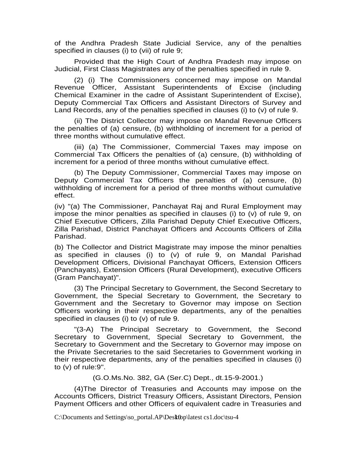of the Andhra Pradesh State Judicial Service, any of the penalties specified in clauses (i) to (vii) of rule 9;

 Provided that the High Court of Andhra Pradesh may impose on Judicial, First Class Magistrates any of the penalties specified in rule 9.

 (2) (i) The Commissioners concerned may impose on Mandal Revenue Officer, Assistant Superintendents of Excise (including Chemical Examiner in the cadre of Assistant Superintendent of Excise), Deputy Commercial Tax Officers and Assistant Directors of Survey and Land Records, any of the penalties specified in clauses (i) to (v) of rule 9.

 (ii) The District Collector may impose on Mandal Revenue Officers the penalties of (a) censure, (b) withholding of increment for a period of three months without cumulative effect.

 (iii) (a) The Commissioner, Commercial Taxes may impose on Commercial Tax Officers the penalties of (a) censure, (b) withholding of increment for a period of three months without cumulative effect.

 (b) The Deputy Commissioner, Commercial Taxes may impose on Deputy Commercial Tax Officers the penalties of (a) censure, (b) withholding of increment for a period of three months without cumulative effect.

(iv) "(a) The Commissioner, Panchayat Raj and Rural Employment may impose the minor penalties as specified in clauses (i) to (v) of rule 9, on Chief Executive Officers, Zilla Parishad Deputy Chief Executive Officers, Zilla Parishad, District Panchayat Officers and Accounts Officers of Zilla Parishad.

(b) The Collector and District Magistrate may impose the minor penalties as specified in clauses (i) to (v) of rule 9, on Mandal Parishad Development Officers, Divisional Panchayat Officers, Extension Officers (Panchayats), Extension Officers (Rural Development), executive Officers (Gram Panchayat)".

 (3) The Principal Secretary to Government, the Second Secretary to Government, the Special Secretary to Government, the Secretary to Government and the Secretary to Governor may impose on Section Officers working in their respective departments, any of the penalties specified in clauses (i) to (v) of rule 9.

 "(3-A) The Principal Secretary to Government, the Second Secretary to Government, Special Secretary to Government, the Secretary to Government and the Secretary to Governor may impose on the Private Secretaries to the said Secretaries to Government working in their respective departments, any of the penalties specified in clauses (i) to  $(v)$  of rule: 9".

(G.O.Ms.No. 382, GA (Ser.C) Dept., dt.15-9-2001.)

 (4)The Director of Treasuries and Accounts may impose on the Accounts Officers, District Treasury Officers, Assistant Directors, Pension Payment Officers and other Officers of equivalent cadre in Treasuries and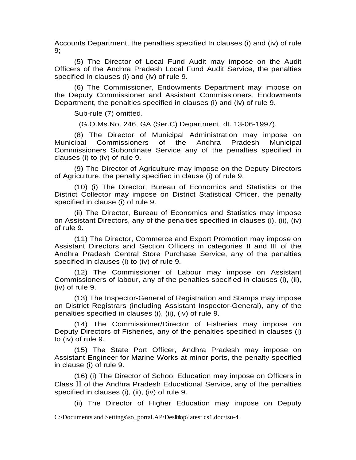Accounts Department, the penalties specified In clauses (i) and (iv) of rule 9;

 (5) The Director of Local Fund Audit may impose on the Audit Officers of the Andhra Pradesh Local Fund Audit Service, the penalties specified In clauses (i) and (iv) of rule 9.

 (6) The Commissioner, Endowments Department may impose on the Deputy Commissioner and Assistant Commissioners, Endowments Department, the penalties specified in clauses (i) and (iv) of rule 9.

Sub-rule (7) omitted.

(G.O.Ms.No. 246, GA (Ser.C) Department, dt. 13-06-1997).

 (8) The Director of Municipal Administration may impose on Municipal Commissioners of the Andhra Pradesh Municipal Commissioners Subordinate Service any of the penalties specified in clauses (i) to (iv) of rule 9.

 (9) The Director of Agriculture may impose on the Deputy Directors of Agriculture, the penalty specified in clause (i) of rule 9.

 (10) (i) The Director, Bureau of Economics and Statistics or the District Collector may impose on District Statistical Officer, the penalty specified in clause (i) of rule 9.

 (ii) The Director, Bureau of Economics and Statistics may impose on Assistant Directors, any of the penalties specified in clauses (i), (ii), (iv) of rule 9.

 (11) The Director, Commerce and Export Promotion may impose on Assistant Directors and Section Officers in categories II and III of the Andhra Pradesh Central Store Purchase Service, any of the penalties specified in clauses (i) to (iv) of rule 9.

 (12) The Commissioner of Labour may impose on Assistant Commissioners of labour, any of the penalties specified in clauses (i), (ii), (iv) of rule 9.

 (13) The Inspector-General of Registration and Stamps may impose on District Registrars (including Assistant Inspector-General), any of the penalties specified in clauses (i), (ii), (iv) of rule 9.

 (14) The Commissioner/Director of Fisheries may impose on Deputy Directors of Fisheries, any of the penalties specified in clauses (i) to (iv) of rule 9.

 (15) The State Port Officer, Andhra Pradesh may impose on Assistant Engineer for Marine Works at minor ports, the penalty specified in clause (i) of rule 9.

 (16) (i) The Director of School Education may impose on Officers in Class II of the Andhra Pradesh Educational Service, any of the penalties specified in clauses (i), (ii), (iv) of rule 9.

(ii) The Director of Higher Education may impose on Deputy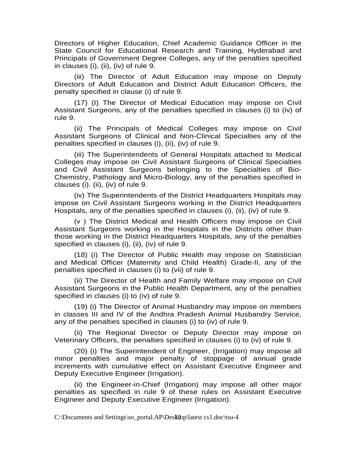Directors of Higher Education, Chief Academic Guidance Officer in the State Council for Educational Research and Training, Hyderabad and Principals of Government Degree Colleges, any of the penalties specified in clauses (i), (ii), (iv) of rule 9.

 (iii) The Director of Adult Education may impose on Deputy Directors of Adult Education and District Adult Education Officers, the penalty specified in clause (i) of rule 9.

 (17) (I) The Director of Medical Education may impose on Civil Assistant Surgeons, any of the penalties specified in clauses (i) to (iv) of rule 9.

 (ii) The Principals of Medical Colleges may impose on Civil Assistant Surgeons of Clinical and Non-Clinical Specialties any of the penalties specified in clauses (i), (ii), (iv) of rule 9.

 (iii) The Superintendents of General Hospitals attached to Medical Colleges may impose on Civil Assistant Surgeons of Clinical Specialties and Civil Assistant Surgeons belonging to the Specialties of Bio-Chemistry, Pathology and Micro-Biology, any of the penalties specified in clauses (i). (ii), (iv) of rule 9.

 (iv) The Superintendents of the District Headquarters Hospitals may impose on Civil Assistant Surgeons working in the District Headquarters Hospitals, any of the penalties specified in clauses (i), (ii), (iv) of rule 9.

 (v ) The District Medical and Health Officers may impose on Civil Assistant Surgeons working in the Hospitals in the Districts other than those working in the District Headquarters Hospitals, any of the penalties specified in clauses (i), (ii), (iv) of rule 9.

 (18) (i) The Director of Public Health may impose on Statistician and Medical Officer (Maternity and Child Health) Grade-II, any of the penalties specified in clauses (i) to (vii) of rule 9.

 (ii) The Director of Health and Family Welfare may impose on Civil Assistant Surgeons in the Public Health Department, any of the penalties specified in clauses (i) to (iv) of rule 9.

 (19) (i) The Director of Animal Husbandry may impose on members in classes III and IV of the Andhra Pradesh Animal Husbandry Service, any of the penalties specified in clauses (i) to (iv) of rule 9.

 (ii) The Regional Director or Deputy Director may impose on Veterinary Officers, the penalties specified in clauses (i) to (iv) of rule 9.

 (20) (i) The Superintendent of Engineer, (Irrigation) may impose all minor penalties and major penalty of stoppage of annual grade increments with cumulative effect on Assistant Executive Engineer and Deputy Executive Engineer (Irrigation).

 (ii) the Engineer-in-Chief (Irrigation) may impose all other major penalties as specified in rule 9 of these rules on Assistant Executive Engineer and Deputy Executive Engineer (Irrigation).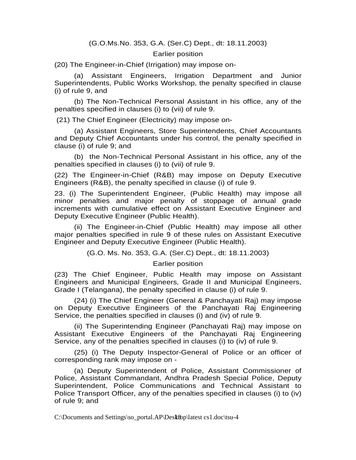#### (G.O.Ms.No. 353, G.A. (Ser.C) Dept., dt: 18.11.2003)

#### Earlier position

(20) The Engineer-in-Chief (Irrigation) may impose on-

 (a) Assistant Engineers, Irrigation Department and Junior Superintendents, Public Works Workshop, the penalty specified in clause (i) of rule 9, and

 (b) The Non-Technical Personal Assistant in his office, any of the penalties specified in clauses (i) to (vii) of rule 9.

(21) The Chief Engineer (Electricity) may impose on-

 (a) Assistant Engineers, Store Superintendents, Chief Accountants and Deputy Chief Accountants under his control, the penalty specified in clause (i) of rule 9; and

 (b) the Non-Technical Personal Assistant in his office, any of the penalties specified in clauses (i) to (vii) of rule 9.

(22) The Engineer-in-Chief (R&B) may impose on Deputy Executive Engineers (R&B), the penalty specified in clause (i) of rule 9.

23. (i) The Superintendent Engineer, (Public Health) may impose all minor penalties and major penalty of stoppage of annual grade increments with cumulative effect on Assistant Executive Engineer and Deputy Executive Engineer (Public Health).

 (ii) The Engineer-in-Chief (Public Health) may impose all other major penalties specified in rule 9 of these rules on Assistant Executive Engineer and Deputy Executive Engineer (Public Health).

(G.O. Ms. No. 353, G.A. (Ser.C) Dept., dt: 18.11.2003)

Earlier position

(23) The Chief Engineer, Public Health may impose on Assistant Engineers and Municipal Engineers, Grade II and Municipal Engineers, Grade I (Telangana), the penalty specified in clause (i) of rule 9.

 (24) (i) The Chief Engineer (General & Panchayati Raj) may impose on Deputy Executive Engineers of the Panchayati Raj Engineering Service, the penalties specified in clauses (i) and (iv) of rule 9.

 (ii) The Superintending Engineer (Panchayati Raj) may impose on Assistant Executive Engineers of the Panchayati Raj Engineering Service, any of the penalties specified in clauses (i) to (iv) of rule 9.

 (25) (i) The Deputy Inspector-General of Police or an officer of corresponding rank may impose on -

 (a) Deputy Superintendent of Police, Assistant Commissioner of Police, Assistant Commandant, Andhra Pradesh Special Police, Deputy Superintendent, Police Communications and Technical Assistant to Police Transport Officer, any of the penalties specified in clauses (i) to (iv) of rule 9; and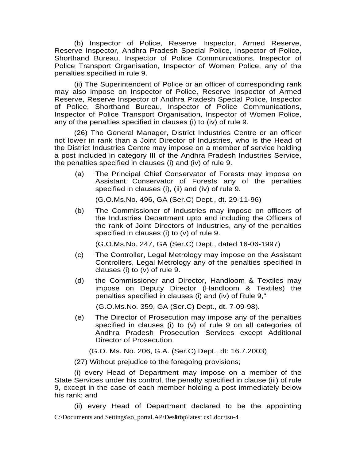(b) Inspector of Police, Reserve Inspector, Armed Reserve, Reserve Inspector, Andhra Pradesh Special Police, Inspector of Police, Shorthand Bureau, Inspector of Police Communications, Inspector of Police Transport Organisation, Inspector of Women Police, any of the penalties specified in rule 9.

 (ii) The Superintendent of Police or an officer of corresponding rank may also impose on Inspector of Police, Reserve Inspector of Armed Reserve, Reserve Inspector of Andhra Pradesh Special Police, Inspector of Police, Shorthand Bureau, Inspector of Police Communications, Inspector of Police Transport Organisation, Inspector of Women Police, any of the penalties specified in clauses (i) to (iv) of rule 9.

 (26) The General Manager, District Industries Centre or an officer not lower in rank than a Joint Director of Industries, who is the Head of the District Industries Centre may impose on a member of service holding a post included in category III of the Andhra Pradesh Industries Service, the penalties specified in clauses (i) and (iv) of rule 9.

(a) The Principal Chief Conservator of Forests may impose on Assistant Conservator of Forests any of the penalties specified in clauses (i), (ii) and (iv) of rule 9.

(G.O.Ms.No. 496, GA (Ser.C) Dept., dt. 29-11-96)

(b) The Commissioner of Industries may impose on officers of the Industries Department upto and including the Officers of the rank of Joint Directors of Industries, any of the penalties specified in clauses (i) to (v) of rule 9.

(G.O.Ms.No. 247, GA (Ser.C) Dept., dated 16-06-1997)

- (c) The Controller, Legal Metrology may impose on the Assistant Controllers, Legal Metrology any of the penalties specified in clauses (i) to (v) of rule 9.
- (d) the Commissioner and Director, Handloom & Textiles may impose on Deputy Director (Handloom & Textiles) the penalties specified in clauses (i) and (iv) of Rule 9,"

(G.O.Ms.No. 359, GA (Ser.C) Dept., dt. 7-09-98).

(e) The Director of Prosecution may impose any of the penalties specified in clauses (i) to (v) of rule 9 on all categories of Andhra Pradesh Prosecution Services except Additional Director of Prosecution.

(G.O. Ms. No. 206, G.A. (Ser.C) Dept., dt: 16.7.2003)

(27) Without prejudice to the foregoing provisions;

 (i) every Head of Department may impose on a member of the State Services under his control, the penalty specified in clause (iii) of rule 9, except in the case of each member holding a post immediately below his rank; and

C:\Documents and Settings\so\_portal.AP\Desktop\latest cs1.doc\tsu-4 (ii) every Head of Department declared to be the appointing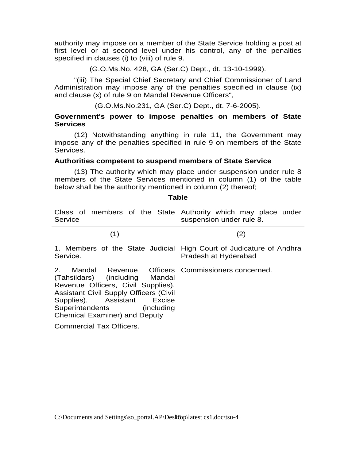authority may impose on a member of the State Service holding a post at first level or at second level under his control, any of the penalties specified in clauses (i) to (viii) of rule 9.

(G.O.Ms.No. 428, GA (Ser.C) Dept., dt. 13-10-1999).

 "(iii) The Special Chief Secretary and Chief Commissioner of Land Administration may impose any of the penalties specified in clause (ix) and clause (x) of rule 9 on Mandal Revenue Officers",

(G.O.Ms.No.231, GA (Ser.C) Dept., dt. 7-6-2005).

#### **Government's power to impose penalties on members of State Services**

 (12) Notwithstanding anything in rule 11, the Government may impose any of the penalties specified in rule 9 on members of the State Services.

#### **Authorities competent to suspend members of State Service**

 (13) The authority which may place under suspension under rule 8 members of the State Services mentioned in column (1) of the table below shall be the authority mentioned in column (2) thereof;

| Service                                                                                                                                                                                                                                                                                                                          | Class of members of the State Authority which may place under<br>suspension under rule 8.   |
|----------------------------------------------------------------------------------------------------------------------------------------------------------------------------------------------------------------------------------------------------------------------------------------------------------------------------------|---------------------------------------------------------------------------------------------|
| (1)                                                                                                                                                                                                                                                                                                                              | (2)                                                                                         |
| Service.                                                                                                                                                                                                                                                                                                                         | 1. Members of the State Judicial High Court of Judicature of Andhra<br>Pradesh at Hyderabad |
| Mandal Revenue Officers Commissioners concerned.<br>$2^{\circ}$<br>(Tahsildars) (including Mandal<br>Revenue Officers, Civil Supplies),<br><b>Assistant Civil Supply Officers (Civil</b><br>Supplies), Assistant Excise<br>Superintendents (including<br><b>Chemical Examiner) and Deputy</b><br><b>Commercial Tax Officers.</b> |                                                                                             |

**Table**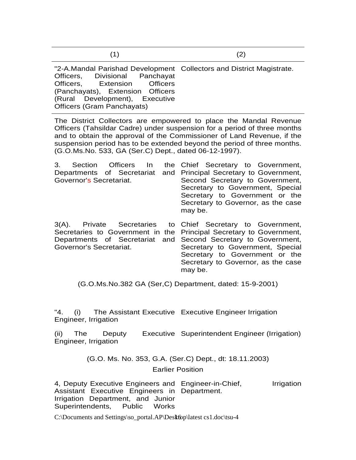"2-A.Mandal Parishad Development Collectors and District Magistrate. Officers, Divisional Panchayat Officers, Extension Officers (Panchayats), Extension Officers (Rural Development), Executive Officers (Gram Panchayats)

The District Collectors are empowered to place the Mandal Revenue Officers (Tahsildar Cadre) under suspension for a period of three months and to obtain the approval of the Commissioner of Land Revenue, if the suspension period has to be extended beyond the period of three months. (G.O.Ms.No. 533, GA (Ser.C) Dept., dated 06-12-1997).

| 3. Section Officers In     | the Chief Secretary to Government,                                                                                                                                                                              |
|----------------------------|-----------------------------------------------------------------------------------------------------------------------------------------------------------------------------------------------------------------|
| Departments of Secretariat | and Principal Secretary to Government,                                                                                                                                                                          |
| Governor's Secretariat.    | Second Secretary to Government,<br>Secretary to Government, Special<br>Secretary to Government or the<br>Secretary to Governor, as the case                                                                     |
|                            | may be.<br>3(A). Private Secretaries to Chief Secretary to Government,<br>Secretaries to Government in the Principal Secretary to Government,<br>Departments of Secretariat and Second Secretary to Government, |
| Governor's Secretariat.    | Secretary to Government. Special                                                                                                                                                                                |

Secretary to Government, Special Secretary to Government or the Secretary to Governor, as the case may be.

(G.O.Ms.No.382 GA (Ser,C) Department, dated: 15-9-2001)

"4. (i) The Assistant Executive Executive Engineer Irrigation Engineer, Irrigation

(ii) The Deputy Executive Superintendent Engineer (Irrigation) Engineer, Irrigation

(G.O. Ms. No. 353, G.A. (Ser.C) Dept., dt: 18.11.2003)

Earlier Position

4, Deputy Executive Engineers and Engineer-in-Chief, Firigation Assistant Executive Engineers in Department. Irrigation Department, and Junior Superintendents, Public Works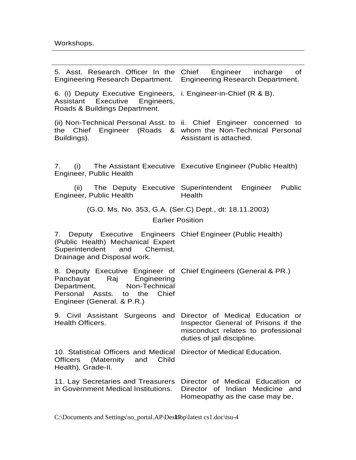| 5. Asst. Research Officer In the Chief Engineer incharge of<br>Engineering Research Department. Engineering Research Department.                                                        |                                                                                                         |  |
|-----------------------------------------------------------------------------------------------------------------------------------------------------------------------------------------|---------------------------------------------------------------------------------------------------------|--|
| 6. (i) Deputy Executive Engineers, i. Engineer-in-Chief (R & B).<br>Assistant Executive Engineers,<br>Roads & Buildings Department.                                                     |                                                                                                         |  |
| (ii) Non-Technical Personal Asst. to ii. Chief Engineer concerned to<br>the Chief Engineer (Roads & whom the Non-Technical Personal<br>Buildings).                                      | Assistant is attached.                                                                                  |  |
| 7. (i) The Assistant Executive Executive Engineer (Public Health)<br>Engineer, Public Health                                                                                            |                                                                                                         |  |
| Engineer, Public Health                                                                                                                                                                 | (ii) The Deputy Executive Superintendent Engineer Public<br>Health                                      |  |
| (G.O. Ms. No. 353, G.A. (Ser.C) Dept., dt: 18.11.2003)                                                                                                                                  |                                                                                                         |  |
| <b>Earlier Position</b>                                                                                                                                                                 |                                                                                                         |  |
| 7. Deputy Executive Engineers Chief Engineer (Public Health)<br>(Public Health) Mechanical Expert<br>Superintendent and Chemist,<br>Drainage and Disposal work.                         |                                                                                                         |  |
| 8. Deputy Executive Engineer of Chief Engineers (General & PR.)<br>Panchayat Raj Engineering<br>Department, Non-Technical<br>Personal Assts. to the Chief<br>Engineer (General. & P.R.) |                                                                                                         |  |
| 9. Civil Assistant Surgeons and Director of Medical Education or<br>Health Officers.                                                                                                    | Inspector General of Prisons if the<br>misconduct relates to professional<br>duties of jail discipline. |  |
| 10. Statistical Officers and Medical<br>(Maternity<br>Child<br>and<br><b>Officers</b><br>Health), Grade-II.                                                                             | Director of Medical Education.                                                                          |  |
| 11. Lay Secretaries and Treasurers<br>in Government Medical Institutions.                                                                                                               | Director of Medical Education or<br>Director of Indian Medicine and<br>Homeopathy as the case may be.   |  |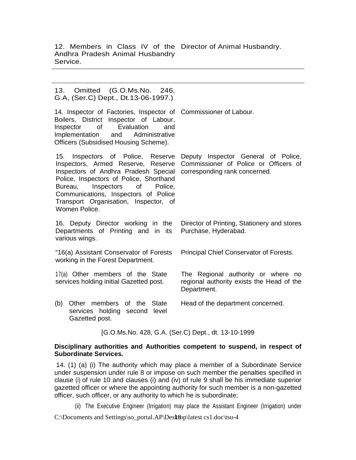12. Members in Class IV of the Director of Animal Husbandry. Andhra Pradesh Animal Husbandry Service.

13. Omitted (G.O.Ms.No. 246, G.A, (Ser.C) Dept., Dt.13-06-1997.) 14. Inspector of Factories, Inspector of Commissioner of Labour. Boilers, District Inspector of Labour, Inspector of Evaluation and Implementation and Administrative Officers (Subsidised Housing Scheme). 15. Inspectors of Police, Reserve Deputy Inspector General of Police, Inspectors, Armed Reserve, Reserve Inspectors of Andhra Pradesh Special corresponding rank concerned. Police, Inspectors of Police, Shorthand Bureau, Inspectors of Police, Communications, Inspectors of Police Transport Organisation, Inspector, of Women Police. Commissioner of Police or Officers of 16. Deputy Director working in the Departments of Printing and in its various wings. Director of Printing, Stationery and stores Purchase, Hyderabad. "16(a) Assistant Conservator of Forests working in the Forest Department. Principal Chief Conservator of Forests. 17(a) Other members of the State services holding initial Gazetted post. The Regional authority or where no regional authority exists the Head of the Department. (b) Other members of the State services holding second level Gazetted post. Head of the department concerned. [G.O.Ms.No. 428, G.A. (Ser.C) Dept., dt. 13-10-1999

#### **Disciplinary authorities and Authorities competent to suspend, in respect of Subordinate Services.**

 14. (1) (a) (i) The authority which may place a member of a Subordinate Service under suspension under rule 8 or impose on such member the penalties specified in clause (i) of rule 10 and clauses (i) and (iv) of rule 9 shall be his immediate superior gazetted officer or where the appointing authority for such member is a non-gazetted officer, such officer, or any authority to which he is subordinate;

(ii) The Executive Engineer (Irrigation) may place the Assistant Engineer (Irrigation) under

 $C:\overline{D}$  C:\Documents and Settings\so\_portal.AP\Desktop\latest cs1.doc\tsu-4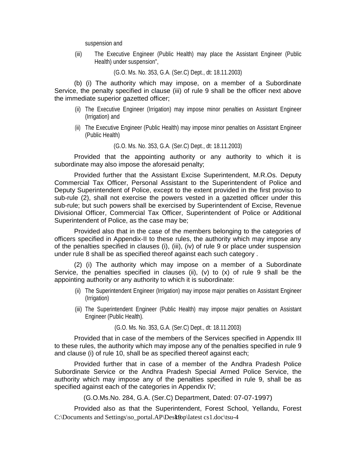suspension and

(iii) The Executive Engineer (Public Health) may place the Assistant Engineer (Public Health) under suspension",

(G.O. Ms. No. 353, G.A. (Ser.C) Dept., dt: 18.11.2003)

 (b) (i) The authority which may impose, on a member of a Subordinate Service, the penalty specified in clause (iii) of rule 9 shall be the officer next above the immediate superior gazetted officer;

- (ii) The Executive Engineer (Irrigation) may impose minor penalties on Assistant Engineer (Irrigation) and
- (iii) The Executive Engineer (Public Health) may impose minor penalties on Assistant Engineer (Public Health)

(G.O. Ms. No. 353, G.A. (Ser.C) Dept., dt: 18.11.2003)

 Provided that the appointing authority or any authority to which it is subordinate may also impose the aforesaid penalty;

 Provided further that the Assistant Excise Superintendent, M.R.Os. Deputy Commercial Tax Officer, Personal Assistant to the Superintendent of Police and Deputy Superintendent of Police, except to the extent provided in the first proviso to sub-rule (2), shall not exercise the powers vested in a gazetted officer under this sub-rule; but such powers shall be exercised by Superintendent of Excise, Revenue Divisional Officer, Commercial Tax Officer, Superintendent of Police or Additional Superintendent of Police, as the case may be;

 Provided also that in the case of the members belonging to the categories of officers specified in Appendix-II to these rules, the authority which may impose any of the penalties specified in clauses (i), (iii), (iv) of rule 9 or place under suspension under rule 8 shall be as specified thereof against each such category .

 (2) (i) The authority which may impose on a member of a Subordinate Service, the penalties specified in clauses (ii), (v) to  $(x)$  of rule 9 shall be the appointing authority or any authority to which it is subordinate:

- (ii) The Superintendent Engineer (Irrigation) may impose major penalties on Assistant Engineer (Irrigation)
- (iii) The Superintendent Engineer (Public Health) may impose major penalties on Assistant Engineer (Public Health).

(G.O. Ms. No. 353, G.A. (Ser.C) Dept., dt: 18.11.2003)

 Provided that in case of the members of the Services specified in Appendix III to these rules, the authority which may impose any of the penalties specified in rule 9 and clause (i) of rule 10, shall be as specified thereof against each;

 Provided further that in case of a member of the Andhra Pradesh Police Subordinate Service or the Andhra Pradesh Special Armed Police Service, the authority which may impose any of the penalties specified in rule 9, shall be as specified against each of the categories in Appendix IV;

(G.O.Ms.No. 284, G.A. (Ser.C) Department, Dated: 07-07-1997)

 $C:\overline{D}$  C:\Documents and Settings\so\_portal.AP\Desktop\latest cs1.doc\tsu-4 Provided also as that the Superintendent, Forest School, Yellandu, Forest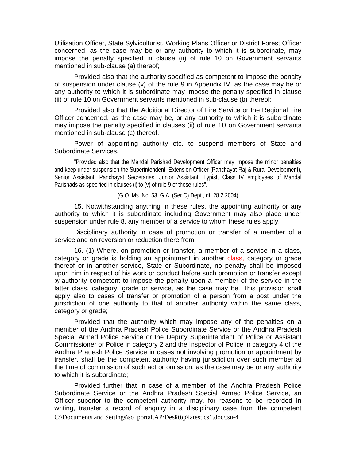Utilisation Officer, State Sylviculturist, Working Plans Officer or District Forest Officer concerned, as the case may be or any authority to which it is subordinate, may impose the penalty specified in clause (ii) of rule 10 on Government servants mentioned in sub-clause (a) thereof;

 Provided also that the authority specified as competent to impose the penalty of suspension under clause (v) of the rule 9 in Appendix IV, as the case may be or any authority to which it is subordinate may impose the penalty specified in clause (ii) of rule 10 on Government servants mentioned in sub-clause (b) thereof;

 Provided also that the Additional Director of Fire Service or the Regional Fire Officer concerned, as the case may be, or any authority to which it is subordinate may impose the penalty specified in clauses (ii) of rule 10 on Government servants mentioned in sub-clause (c) thereof.

 Power of appointing authority etc. to suspend members of State and Subordinate Services.

 "Provided also that the Mandal Parishad Development Officer may impose the minor penalties and keep under suspension the Superintendent, Extension Officer (Panchayat Raj & Rural Development), Senior Assistant, Panchayat Secretaries, Junior Assistant, Typist, Class IV employees of Mandal Parishads as specified in clauses (i) to (v) of rule 9 of these rules".

(G.O. Ms. No. 53, G.A. (Ser.C) Dept., dt: 28.2.2004)

 15. Notwithstanding anything in these rules, the appointing authority or any authority to which it is subordinate including Government may also place under suspension under rule 8, any member of a service to whom these rules apply.

 Disciplinary authority in case of promotion or transfer of a member of a service and on reversion or reduction there from.

 16. (1) Where, on promotion or transfer, a member of a service in a class, category or grade is holding an appointment in another class, category or grade thereof or in another service, State or Subordinate, no penalty shall be imposed upon him in respect of his work or conduct before such promotion or transfer except by authority competent to impose the penalty upon a member of the service in the latter class, category, grade or service, as the case may be. This provision shall apply also to cases of transfer or promotion of a person from a post under the jurisdiction of one authority to that of another authority within the same class, category or grade;

 Provided that the authority which may impose any of the penalties on a member of the Andhra Pradesh Police Subordinate Service or the Andhra Pradesh Special Armed Police Service or the Deputy Superintendent of Police or Assistant Commissioner of Police in category 2 and the Inspector of Police in category 4 of the Andhra Pradesh Police Service in cases not involving promotion or appointment by transfer, shall be the competent authority having jurisdiction over such member at the time of commission of such act or omission, as the case may be or any authority to which it is subordinate;

 $C:\overline{D}$  C:\Documents and Settings\so\_portal.AP\DesRtop\latest cs1.doc\tsu-4 Provided further that in case of a member of the Andhra Pradesh Police Subordinate Service or the Andhra Pradesh Special Armed Police Service, an Officer superior to the competent authority may, for reasons to be recorded In writing, transfer a record of enquiry in a disciplinary case from the competent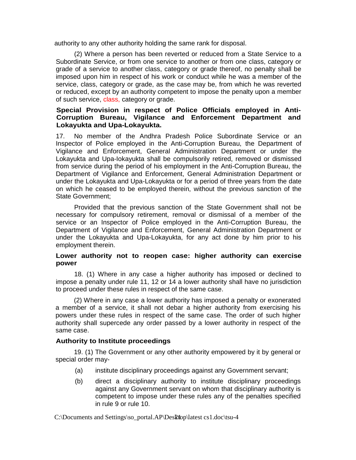authority to any other authority holding the same rank for disposal.

(2) Where a person has been reverted or reduced from a State Service to a Subordinate Service, or from one service to another or from one class, category or grade of a service to another class, category or grade thereof, no penalty shall be imposed upon him in respect of his work or conduct while he was a member of the service, class, category or grade, as the case may be, from which he was reverted or reduced, except by an authority competent to impose the penalty upon a member of such service, class, category or grade.

#### **Special Provision in respect of Police Officials employed in Anti-Corruption Bureau, Vigilance and Enforcement Department and Lokayukta and Upa-Lokayukta.**

17. No member of the Andhra Pradesh Police Subordinate Service or an Inspector of Police employed in the Anti-Corruption Bureau, the Department of Vigilance and Enforcement, General Administration Department or under the Lokayukta and Upa-Iokayukta shall be compulsorily retired, removed or dismissed from service during the period of his employment in the Anti-Corruption Bureau, the Department of Vigilance and Enforcement, General Administration Department or under the Lokayukta and Upa-Lokayukta or for a period of three years from the date on which he ceased to be employed therein, without the previous sanction of the State Government;

Provided that the previous sanction of the State Government shall not be necessary for compulsory retirement, removal or dismissal of a member of the service or an Inspector of Police employed in the Anti-Corruption Bureau, the Department of Vigilance and Enforcement, General Administration Department or under the Lokayukta and Upa-Lokayukta, for any act done by him prior to his employment therein.

#### **Lower authority not to reopen case: higher authority can exercise power**

18. (1) Where in any case a higher authority has imposed or declined to impose a penalty under rule 11, 12 or 14 a lower authority shall have no jurisdiction to proceed under these rules in respect of the same case.

(2) Where in any case a lower authority has imposed a penalty or exonerated a member of a service, it shall not debar a higher authority from exercising his powers under these rules in respect of the same case. The order of such higher authority shall supercede any order passed by a lower authority in respect of the same case.

#### **Authority to Institute proceedings**

19. (1) The Government or any other authority empowered by it by general or special order may-

- (a) institute disciplinary proceedings against any Government servant;
- (b) direct a disciplinary authority to institute disciplinary proceedings against any Government servant on whom that disciplinary authority is competent to impose under these rules any of the penalties specified in rule 9 or rule 10.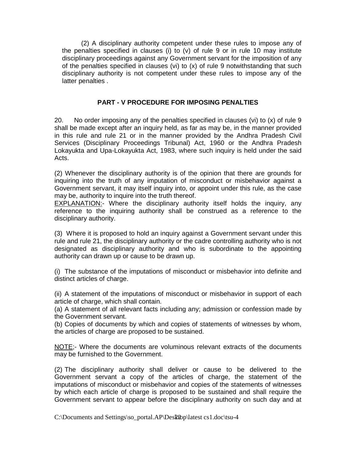(2) A disciplinary authority competent under these rules to impose any of the penalties specified in clauses (i) to (v) of rule 9 or in rule 10 may institute disciplinary proceedings against any Government servant for the imposition of any of the penalties specified in clauses (vi) to (x) of rule 9 notwithstanding that such disciplinary authority is not competent under these rules to impose any of the latter penalties .

#### **PART - V PROCEDURE FOR IMPOSING PENALTIES**

20. No order imposing any of the penalties specified in clauses (vi) to (x) of rule 9 shall be made except after an inquiry held, as far as may be, in the manner provided in this rule and rule 21 or in the manner provided by the Andhra Pradesh Civil Services (Disciplinary Proceedings Tribunal) Act, 1960 or the Andhra Pradesh Lokayukta and Upa-Lokayukta Act, 1983, where such inquiry is held under the said Acts.

(2) Whenever the disciplinary authority is of the opinion that there are grounds for inquiring into the truth of any imputation of misconduct or misbehavior against a Government servant, it may itself inquiry into, or appoint under this rule, as the case may be, authority to inquire into the truth thereof.

EXPLANATION:- Where the disciplinary authority itself holds the inquiry, any reference to the inquiring authority shall be construed as a reference to the disciplinary authority.

(3) Where it is proposed to hold an inquiry against a Government servant under this rule and rule 21, the disciplinary authority or the cadre controlling authority who is not designated as disciplinary authority and who is subordinate to the appointing authority can drawn up or cause to be drawn up.

(i) The substance of the imputations of misconduct or misbehavior into definite and distinct articles of charge.

(ii) A statement of the imputations of misconduct or misbehavior in support of each article of charge, which shall contain.

(a) A statement of all relevant facts including any; admission or confession made by the Government servant.

(b) Copies of documents by which and copies of statements of witnesses by whom, the articles of charge are proposed to be sustained.

NOTE;- Where the documents are voluminous relevant extracts of the documents may be furnished to the Government.

(2) The disciplinary authority shall deliver or cause to be delivered to the Government servant a copy of the articles of charge, the statement of the imputations of misconduct or misbehavior and copies of the statements of witnesses by which each article of charge is proposed to be sustained and shall require the Government servant to appear before the disciplinary authority on such day and at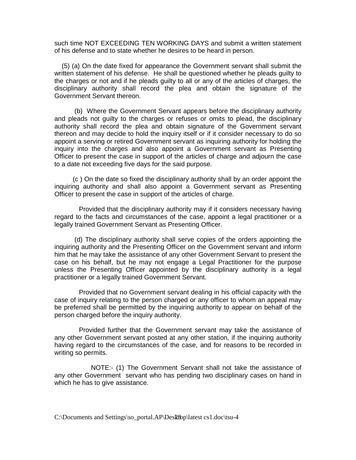such time NOT EXCEEDING TEN WORKING DAYS and submit a written statement of his defense and to state whether he desires to be heard in person.

 (5) (a) On the date fixed for appearance the Government servant shall submit the written statement of his defense. He shall be questioned whether he pleads guilty to the charges or not and if he pleads guilty to all or any of the articles of charges, the disciplinary authority shall record the plea and obtain the signature of the Government Servant thereon.

 (b) Where the Government Servant appears before the disciplinary authority and pleads not guilty to the charges or refuses or omits to plead, the disciplinary authority shall record the plea and obtain signature of the Government servant thereon and may decide to hold the inquiry itself or if it consider necessary to do so appoint a serving or retired Government servant as inquiring authority for holding the inquiry into the charges and also appoint a Government servant as Presenting Officer to present the case in support of the articles of charge and adjourn the case to a date not exceeding five days for the said purpose.

 (c ) On the date so fixed the disciplinary authority shall by an order appoint the inquiring authority and shall also appoint a Government servant as Presenting Officer to present the case in support of the articles of charge.

 Provided that the disciplinary authority may if it considers necessary having regard to the facts and circumstances of the case, appoint a legal practitioner or a legally trained Government Servant as Presenting Officer.

 (d) The disciplinary authority shall serve copies of the orders appointing the inquiring authority and the Presenting Officer on the Government servant and inform him that he may take the assistance of any other Government Servant to present the case on his behalf, but he may not engage a Legal Practitioner for the purpose unless the Presenting Officer appointed by the disciplinary authority is a legal practitioner or a legally trained Government Servant.

 Provided that no Government servant dealing in his official capacity with the case of inquiry relating to the person charged or any officer to whom an appeal may be preferred shall be permitted by the inquiring authority to appear on behalf of the person charged before the inquiry authority.

 Provided further that the Government servant may take the assistance of any other Government servant posted at any other station, if the inquiring authority having regard to the circumstances of the case, and for reasons to be recorded in writing so permits.

 NOTE:- (1) The Government Servant shall not take the assistance of any other Government servant who has pending two disciplinary cases on hand in which he has to give assistance.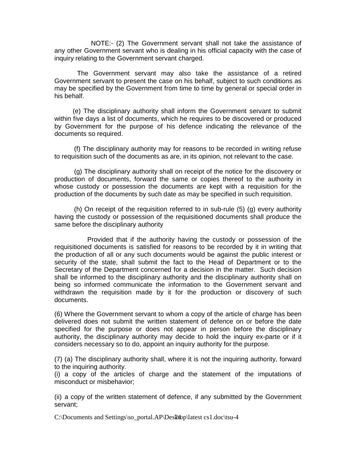NOTE:- (2) The Government servant shall not take the assistance of any other Government servant who is dealing in his official capacity with the case of inquiry relating to the Government servant charged.

 The Government servant may also take the assistance of a retired Government servant to present the case on his behalf, subject to such conditions as may be specified by the Government from time to time by general or special order in his behalf.

 (e) The disciplinary authority shall inform the Government servant to submit within five days a list of documents, which he requires to be discovered or produced by Government for the purpose of his defence indicating the relevance of the documents so required.

 (f) The disciplinary authority may for reasons to be recorded in writing refuse to requisition such of the documents as are, in its opinion, not relevant to the case.

 (g) The disciplinary authority shall on receipt of the notice for the discovery or production of documents, forward the same or copies thereof to the authority in whose custody or possession the documents are kept with a requisition for the production of the documents by such date as may be specified in such requisition.

 (h) On receipt of the requisition referred to in sub-rule (5) (g) every authority having the custody or possession of the requisitioned documents shall produce the same before the disciplinary authority

 Provided that if the authority having the custody or possession of the requisitioned documents is satisfied for reasons to be recorded by it in writing that the production of all or any such documents would be against the public interest or security of the state, shall submit the fact to the Head of Department or to the Secretary of the Department concerned for a decision in the matter. Such decision shall be informed to the disciplinary authority and the disciplinary authority shall on being so informed communicate the information to the Government servant and withdrawn the requisition made by it for the production or discovery of such documents.

(6) Where the Government servant to whom a copy of the article of charge has been delivered does not submit the written statement of defence on or before the date specified for the purpose or does not appear in person before the disciplinary authority, the disciplinary authority may decide to hold the inquiry ex-parte or if it considers necessary so to do, appoint an inquiry authority for the purpose.

(7) (a) The disciplinary authority shall, where it is not the inquiring authority, forward to the inquiring authority.

(i) a copy of the articles of charge and the statement of the imputations of misconduct or misbehavior;

(ii) a copy of the written statement of defence, if any submitted by the Government servant;

 $C:\overline{D}$  C:\Documents and Settings\so\_portal.AP\DesRtop\latest cs1.doc\tsu-4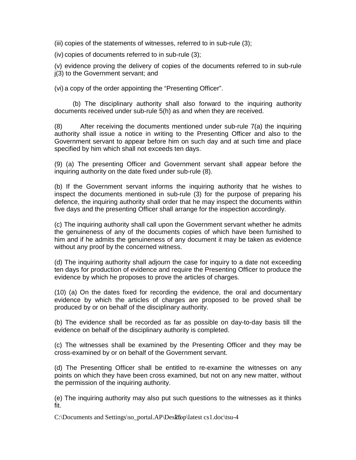(iii) copies of the statements of witnesses, referred to in sub-rule (3);

(iv) copies of documents referred to in sub-rule (3);

(v) evidence proving the delivery of copies of the documents referred to in sub-rule j(3) to the Government servant; and

(vi) a copy of the order appointing the "Presenting Officer".

 (b) The disciplinary authority shall also forward to the inquiring authority documents received under sub-rule 5(h) as and when they are received.

(8) After receiving the documents mentioned under sub-rule 7(a) the inquiring authority shall issue a notice in writing to the Presenting Officer and also to the Government servant to appear before him on such day and at such time and place specified by him which shall not exceeds ten days.

(9) (a) The presenting Officer and Government servant shall appear before the inquiring authority on the date fixed under sub-rule (8).

(b) If the Government servant informs the inquiring authority that he wishes to inspect the documents mentioned in sub-rule (3) for the purpose of preparing his defence, the inquiring authority shall order that he may inspect the documents within five days and the presenting Officer shall arrange for the inspection accordingly.

(c) The inquiring authority shall call upon the Government servant whether he admits the genuineness of any of the documents copies of which have been furnished to him and if he admits the genuineness of any document it may be taken as evidence without any proof by the concerned witness.

(d) The inquiring authority shall adjourn the case for inquiry to a date not exceeding ten days for production of evidence and require the Presenting Officer to produce the evidence by which he proposes to prove the articles of charges.

(10) (a) On the dates fixed for recording the evidence, the oral and documentary evidence by which the articles of charges are proposed to be proved shall be produced by or on behalf of the disciplinary authority.

(b) The evidence shall be recorded as far as possible on day-to-day basis till the evidence on behalf of the disciplinary authority is completed.

(c) The witnesses shall be examined by the Presenting Officer and they may be cross-examined by or on behalf of the Government servant.

(d) The Presenting Officer shall be entitled to re-examine the witnesses on any points on which they have been cross examined, but not on any new matter, without the permission of the inquiring authority.

(e) The inquiring authority may also put such questions to the witnesses as it thinks fit.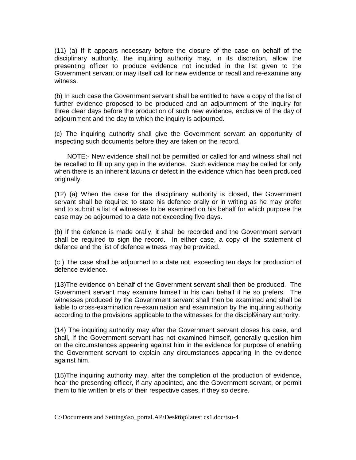(11) (a) If it appears necessary before the closure of the case on behalf of the disciplinary authority, the inquiring authority may, in its discretion, allow the presenting officer to produce evidence not included in the list given to the Government servant or may itself call for new evidence or recall and re-examine any witness.

(b) In such case the Government servant shall be entitled to have a copy of the list of further evidence proposed to be produced and an adjournment of the inquiry for three clear days before the production of such new evidence, exclusive of the day of adjournment and the day to which the inquiry is adjourned.

(c) The inquiring authority shall give the Government servant an opportunity of inspecting such documents before they are taken on the record.

 NOTE:- New evidence shall not be permitted or called for and witness shall not be recalled to fill up any gap in the evidence. Such evidence may be called for only when there is an inherent lacuna or defect in the evidence which has been produced originally.

(12) (a) When the case for the disciplinary authority is closed, the Government servant shall be required to state his defence orally or in writing as he may prefer and to submit a list of witnesses to be examined on his behalf for which purpose the case may be adjourned to a date not exceeding five days.

(b) If the defence is made orally, it shall be recorded and the Government servant shall be required to sign the record. In either case, a copy of the statement of defence and the list of defence witness may be provided.

(c ) The case shall be adjourned to a date not exceeding ten days for production of defence evidence.

(13)The evidence on behalf of the Government servant shall then be produced. The Government servant may examine himself in his own behalf if he so prefers. The witnesses produced by the Government servant shall then be examined and shall be liable to cross-examination re-examination and examination by the inquiring authority according to the provisions applicable to the witnesses for the discipl9inary authority.

(14) The inquiring authority may after the Government servant closes his case, and shall, If the Government servant has not examined himself, generally question him on the circumstances appearing against him in the evidence for purpose of enabling the Government servant to explain any circumstances appearing In the evidence against him.

(15)The inquiring authority may, after the completion of the production of evidence, hear the presenting officer, if any appointed, and the Government servant, or permit them to file written briefs of their respective cases, if they so desire.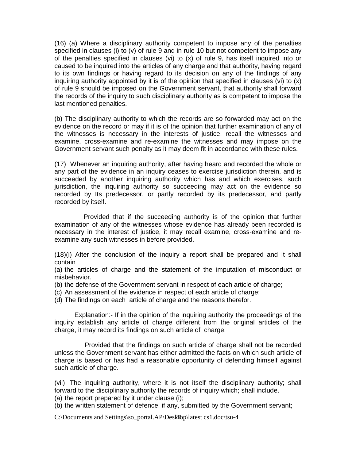(16) (a) Where a disciplinary authority competent to impose any of the penalties specified in clauses (i) to (v) of rule 9 and in rule 10 but not competent to impose any of the penalties specified in clauses (vi) to (x) of rule 9, has itself inquired into or caused to be inquired into the articles of any charge and that authority, having regard to its own findings or having regard to its decision on any of the findings of any inquiring authority appointed by it is of the opinion that specified in clauses (vi) to (x) of rule 9 should be imposed on the Government servant, that authority shall forward the records of the inquiry to such disciplinary authority as is competent to impose the last mentioned penalties.

(b) The disciplinary authority to which the records are so forwarded may act on the evidence on the record or may if it is of the opinion that further examination of any of the witnesses is necessary in the interests of justice, recall the witnesses and examine, cross-examine and re-examine the witnesses and may impose on the Government servant such penalty as it may deem fit in accordance with these rules.

(17) Whenever an inquiring authority, after having heard and recorded the whole or any part of the evidence in an inquiry ceases to exercise jurisdiction therein, and is succeeded by another inquiring authority which has and which exercises, such jurisdiction, the inquiring authority so succeeding may act on the evidence so recorded by Its predecessor, or partly recorded by its predecessor, and partly recorded by itself.

 Provided that if the succeeding authority is of the opinion that further examination of any of the witnesses whose evidence has already been recorded is necessary in the interest of justice, it may recall examine, cross-examine and reexamine any such witnesses in before provided.

(18)(i) After the conclusion of the inquiry a report shall be prepared and It shall contain

(a) the articles of charge and the statement of the imputation of misconduct or misbehavior.

(b) the defense of the Government servant in respect of each article of charge;

(c) An assessment of the evidence in respect of each article of charge;

(d) The findings on each article of charge and the reasons therefor.

 Explanation:- If in the opinion of the inquiring authority the proceedings of the inquiry establish any article of charge different from the original articles of the charge, it may record its findings on such article of charge.

 Provided that the findings on such article of charge shall not be recorded unless the Government servant has either admitted the facts on which such article of charge is based or has had a reasonable opportunity of defending himself against such article of charge.

(vii) The inquiring authority, where it is not itself the disciplinary authority; shall forward to the disciplinary authority the records of inquiry which; shall include.

(a) the report prepared by it under clause (i);

(b) the written statement of defence, if any, submitted by the Government servant;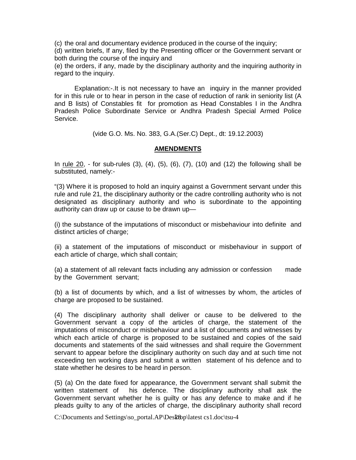(c) the oral and documentary evidence produced in the course of the inquiry;

(d) written briefs, If any, filed by the Presenting officer or the Government servant or both during the course of the inquiry and

(e) the orders, if any, made by the disciplinary authority and the inquiring authority in regard to the inquiry.

 Explanation:-.It is not necessary to have an inquiry in the manner provided for in this rule or to hear in person in the case of reduction of rank in seniority list (A and B lists) of Constables fit for promotion as Head Constables I in the Andhra Pradesh Police Subordinate Service or Andhra Pradesh Special Armed Police Service.

(vide G.O. Ms. No. 383, G.A.(Ser.C) Dept., dt: 19.12.2003)

#### **AMENDMENTS**

In <u>rule 20</u>, - for sub-rules  $(3)$ ,  $(4)$ ,  $(5)$ ,  $(6)$ ,  $(7)$ ,  $(10)$  and  $(12)$  the following shall be substituted, namely:-

"(3) Where it is proposed to hold an inquiry against a Government servant under this rule and rule 21, the disciplinary authority or the cadre controlling authority who is not designated as disciplinary authority and who is subordinate to the appointing authority can draw up or cause to be drawn up—

(i) the substance of the imputations of misconduct or misbehaviour into definite and distinct articles of charge;

(ii) a statement of the imputations of misconduct or misbehaviour in support of each article of charge, which shall contain;

(a) a statement of all relevant facts including any admission or confession made by the Government servant;

(b) a list of documents by which, and a list of witnesses by whom, the articles of charge are proposed to be sustained.

(4) The disciplinary authority shall deliver or cause to be delivered to the Government servant a copy of the articles of charge, the statement of the imputations of misconduct or misbehaviour and a list of documents and witnesses by which each article of charge is proposed to be sustained and copies of the said documents and statements of the said witnesses and shall require the Government servant to appear before the disciplinary authority on such day and at such time not exceeding ten working days and submit a written statement of his defence and to state whether he desires to be heard in person.

(5) (a) On the date fixed for appearance, the Government servant shall submit the written statement of his defence. The disciplinary authority shall ask the Government servant whether he is guilty or has any defence to make and if he pleads guilty to any of the articles of charge, the disciplinary authority shall record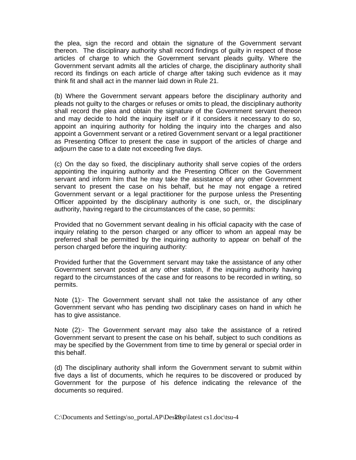the plea, sign the record and obtain the signature of the Government servant thereon. The disciplinary authority shall record findings of guilty in respect of those articles of charge to which the Government servant pleads guilty. Where the Government servant admits all the articles of charge, the disciplinary authority shall record its findings on each article of charge after taking such evidence as it may think fit and shall act in the manner laid down in Rule 21.

(b) Where the Government servant appears before the disciplinary authority and pleads not guilty to the charges or refuses or omits to plead, the disciplinary authority shall record the plea and obtain the signature of the Government servant thereon and may decide to hold the inquiry itself or if it considers it necessary to do so, appoint an inquiring authority for holding the inquiry into the charges and also appoint a Government servant or a retired Government servant or a legal practitioner as Presenting Officer to present the case in support of the articles of charge and adjourn the case to a date not exceeding five days.

(c) On the day so fixed, the disciplinary authority shall serve copies of the orders appointing the inquiring authority and the Presenting Officer on the Government servant and inform him that he may take the assistance of any other Government servant to present the case on his behalf, but he may not engage a retired Government servant or a legal practitioner for the purpose unless the Presenting Officer appointed by the disciplinary authority is one such, or, the disciplinary authority, having regard to the circumstances of the case, so permits:

Provided that no Government servant dealing in his official capacity with the case of inquiry relating to the person charged or any officer to whom an appeal may be preferred shall be permitted by the inquiring authority to appear on behalf of the person charged before the inquiring authority:

Provided further that the Government servant may take the assistance of any other Government servant posted at any other station, if the inquiring authority having regard to the circumstances of the case and for reasons to be recorded in writing, so permits.

Note (1):- The Government servant shall not take the assistance of any other Government servant who has pending two disciplinary cases on hand in which he has to give assistance.

Note (2):- The Government servant may also take the assistance of a retired Government servant to present the case on his behalf, subject to such conditions as may be specified by the Government from time to time by general or special order in this behalf.

(d) The disciplinary authority shall inform the Government servant to submit within five days a list of documents, which he requires to be discovered or produced by Government for the purpose of his defence indicating the relevance of the documents so required.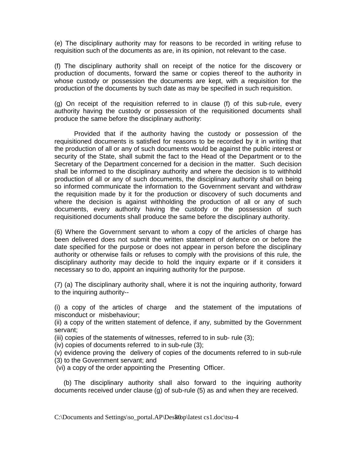(e) The disciplinary authority may for reasons to be recorded in writing refuse to requisition such of the documents as are, in its opinion, not relevant to the case.

(f) The disciplinary authority shall on receipt of the notice for the discovery or production of documents, forward the same or copies thereof to the authority in whose custody or possession the documents are kept, with a requisition for the production of the documents by such date as may be specified in such requisition.

(g) On receipt of the requisition referred to in clause (f) of this sub-rule, every authority having the custody or possession of the requisitioned documents shall produce the same before the disciplinary authority:

 Provided that if the authority having the custody or possession of the requisitioned documents is satisfied for reasons to be recorded by it in writing that the production of all or any of such documents would be against the public interest or security of the State, shall submit the fact to the Head of the Department or to the Secretary of the Department concerned for a decision in the matter. Such decision shall be informed to the disciplinary authority and where the decision is to withhold production of all or any of such documents, the disciplinary authority shall on being so informed communicate the information to the Government servant and withdraw the requisition made by it for the production or discovery of such documents and where the decision is against withholding the production of all or any of such documents, every authority having the custody or the possession of such requisitioned documents shall produce the same before the disciplinary authority.

(6) Where the Government servant to whom a copy of the articles of charge has been delivered does not submit the written statement of defence on or before the date specified for the purpose or does not appear in person before the disciplinary authority or otherwise fails or refuses to comply with the provisions of this rule, the disciplinary authority may decide to hold the inquiry exparte or if it considers it necessary so to do, appoint an inquiring authority for the purpose.

(7) (a) The disciplinary authority shall, where it is not the inquiring authority, forward to the inquiring authority--

(i) a copy of the articles of charge and the statement of the imputations of misconduct or misbehaviour;

(ii) a copy of the written statement of defence, if any, submitted by the Government servant;

(iii) copies of the statements of witnesses, referred to in sub- rule (3);

(iv) copies of documents referred to in sub-rule (3);

(v) evidence proving the delivery of copies of the documents referred to in sub-rule

(3) to the Government servant; and

(vi) a copy of the order appointing the Presenting Officer.

 (b) The disciplinary authority shall also forward to the inquiring authority documents received under clause (g) of sub-rule (5) as and when they are received.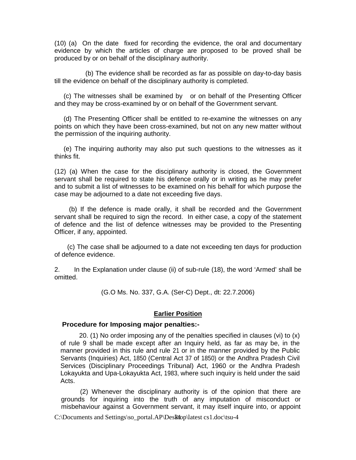(10) (a) On the date fixed for recording the evidence, the oral and documentary evidence by which the articles of charge are proposed to be proved shall be produced by or on behalf of the disciplinary authority.

 (b) The evidence shall be recorded as far as possible on day-to-day basis till the evidence on behalf of the disciplinary authority is completed.

 (c) The witnesses shall be examined by or on behalf of the Presenting Officer and they may be cross-examined by or on behalf of the Government servant.

 (d) The Presenting Officer shall be entitled to re-examine the witnesses on any points on which they have been cross-examined, but not on any new matter without the permission of the inquiring authority.

 (e) The inquiring authority may also put such questions to the witnesses as it thinks fit.

(12) (a) When the case for the disciplinary authority is closed, the Government servant shall be required to state his defence orally or in writing as he may prefer and to submit a list of witnesses to be examined on his behalf for which purpose the case may be adjourned to a date not exceeding five days.

 (b) If the defence is made orally, it shall be recorded and the Government servant shall be required to sign the record. In either case, a copy of the statement of defence and the list of defence witnesses may be provided to the Presenting Officer, if any, appointed.

 (c) The case shall be adjourned to a date not exceeding ten days for production of defence evidence.

2. In the Explanation under clause (ii) of sub-rule (18), the word 'Armed' shall be omitted.

(G.O Ms. No. 337, G.A. (Ser-C) Dept., dt: 22.7.2006)

#### **Earlier Position**

#### **Procedure for Imposing major penalties:-**

20. (1) No order imposing any of the penalties specified in clauses (vi) to (x) of rule 9 shall be made except after an Inquiry held, as far as may be, in the manner provided in this rule and rule 21 or in the manner provided by the Public Servants (Inquiries) Act, 1850 (Central Act 37 of 1850) or the Andhra Pradesh Civil Services (Disciplinary Proceedings Tribunal) Act, 1960 or the Andhra Pradesh Lokayukta and Upa-Lokayukta Act, 1983, where such inquiry is held under the said Acts.

(2) Whenever the disciplinary authority is of the opinion that there are grounds for inquiring into the truth of any imputation of misconduct or misbehaviour against a Government servant, it may itself inquire into, or appoint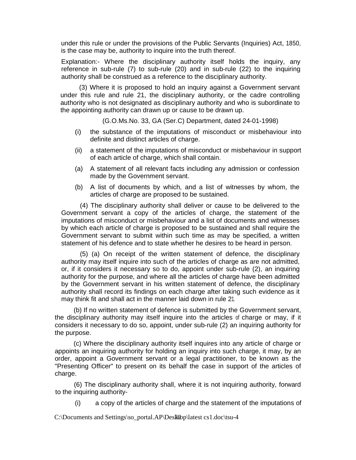under this rule or under the provisions of the Public Servants (Inquiries) Act, 1850, is the case may be, authority to inquire into the truth thereof.

Explanation:- Where the disciplinary authority itself holds the inquiry, any reference in sub-rule (7) to sub-rule (20) and in sub-rule (22) to the inquiring authority shall be construed as a reference to the disciplinary authority.

(3) Where it is proposed to hold an inquiry against a Government servant under this rule and rule 21, the disciplinary authority, or the cadre controlling authority who is not designated as disciplinary authority and who is subordinate to the appointing authority can drawn up or cause to be drawn up.

(G.O.Ms.No. 33, GA (Ser.C) Department, dated 24-01-1998)

- (i) the substance of the imputations of misconduct or misbehaviour into definite and distinct articles of charge.
- (ii) a statement of the imputations of misconduct or misbehaviour in support of each article of charge, which shall contain.
- (a) A statement of all relevant facts including any admission or confession made by the Government servant.
- (b) A list of documents by which, and a list of witnesses by whom, the articles of charge are proposed to be sustained.

(4) The disciplinary authority shall deliver or cause to be delivered to the Government servant a copy of the articles of charge, the statement of the imputations of misconduct or misbehaviour and a list of documents and witnesses by which each article of charge is proposed to be sustained and shall require the Government servant to submit within such time as may be specified, a written statement of his defence and to state whether he desires to be heard in person.

(5) (a) On receipt of the written statement of defence, the disciplinary authority may itself inquire into such of the articles of charge as are not admitted, or, if it considers it necessary so to do, appoint under sub-rule (2), an inquiring authority for the purpose, and where all the articles of charge have been admitted by the Government servant in his written statement of defence, the disciplinary authority shall record its findings on each charge after taking such evidence as it may think fit and shall act in the manner laid down in rule 21.

(b) If no written statement of defence is submitted by the Government servant, the disciplinary authority may itself inquire into the articles of charge or may, if it considers it necessary to do so, appoint, under sub-rule (2) an inquiring authority for the purpose.

(c) Where the disciplinary authority itself inquires into any article of charge or appoints an inquiring authority for holding an inquiry into such charge, it may, by an order, appoint a Government servant or a legal practitioner, to be known as the "Presenting Officer" to present on its behalf the case in support of the articles of charge.

(6) The disciplinary authority shall, where it is not inquiring authority, forward to the inquiring authority-

(i) a copy of the articles of charge and the statement of the imputations of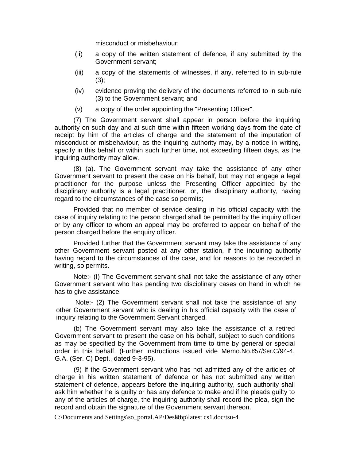misconduct or misbehaviour;

- (ii) a copy of the written statement of defence, if any submitted by the Government servant;
- (iii) a copy of the statements of witnesses, if any, referred to in sub-rule  $(3)$ ;
- (iv) evidence proving the delivery of the documents referred to in sub-rule (3) to the Government servant; and
- (v) a copy of the order appointing the "Presenting Officer".

(7) The Government servant shall appear in person before the inquiring authority on such day and at such time within fifteen working days from the date of receipt by him of the articles of charge and the statement of the imputation of misconduct or misbehaviour, as the inquiring authority may, by a notice in writing, specify in this behalf or within such further time, not exceeding fifteen days, as the inquiring authority may allow.

(8) (a). The Government servant may take the assistance of any other Government servant to present the case on his behalf, but may not engage a legal practitioner for the purpose unless the Presenting Officer appointed by the disciplinary authority is a legal practitioner, or, the disciplinary authority, having regard to the circumstances of the case so permits;

Provided that no member of service dealing in his official capacity with the case of inquiry relating to the person charged shall be permitted by the inquiry officer or by any officer to whom an appeal may be preferred to appear on behalf of the person charged before the enquiry officer.

Provided further that the Government servant may take the assistance of any other Government servant posted at any other station, if the inquiring authority having regard to the circumstances of the case, and for reasons to be recorded in writing, so permits.

Note:- (I) The Government servant shall not take the assistance of any other Government servant who has pending two disciplinary cases on hand in which he has to give assistance.

Note:- (2) The Government servant shall not take the assistance of any other Government servant who is dealing in his official capacity with the case of inquiry relating to the Government Servant charged.

(b) The Government servant may also take the assistance of a retired Government servant to present the case on his behalf, subject to such conditions as may be specified by the Government from time to time by general or special order in this behalf. (Further instructions issued vide Memo.No.657/Ser.C/94-4, G.A. (Ser. C) Dept., dated 9-3-95).

(9) If the Government servant who has not admitted any of the articles of charge in his written statement of defence or has not submitted any written statement of defence, appears before the inquiring authority, such authority shall ask him whether he is guilty or has any defence to make and if he pleads guilty to any of the articles of charge, the inquiring authority shall record the plea, sign the record and obtain the signature of the Government servant thereon.

 $C:\overline{D}$  C:\Documents and Settings\so\_portal.AP\Desktop\latest cs1.doc\tsu-4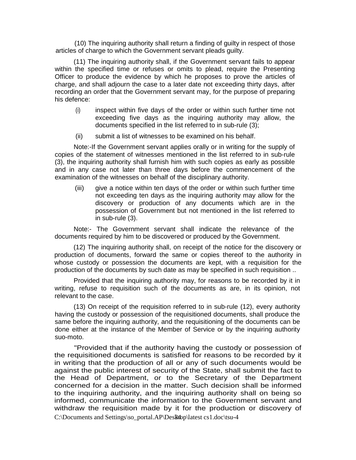(10) The inquiring authority shall return a finding of guilty in respect of those articles of charge to which the Government servant pleads guilty.

(11) The inquiring authority shall, if the Government servant fails to appear within the specified time or refuses or omits to plead, require the Presenting Officer to produce the evidence by which he proposes to prove the articles of charge, and shall adjourn the case to a later date not exceeding thirty days, after recording an order that the Government servant may, for the purpose of preparing his defence:

- (i) inspect within five days of the order or within such further time not exceeding five days as the inquiring authority may allow, the documents specified in the list referred to in sub-rule (3);
- (ii) submit a list of witnesses to be examined on his behalf.

Note:-If the Government servant applies orally or in writing for the supply of copies of the statement of witnesses mentioned in the list referred to in sub-rule (3), the inquiring authority shall furnish him with such copies as early as possible and in any case not later than three days before the commencement of the examination of the witnesses on behalf of the disciplinary authority.

(iii) give a notice within ten days of the order or within such further time not exceeding ten days as the inquiring authority may allow for the discovery or production of any documents which are in the possession of Government but not mentioned in the list referred to in sub-rule (3).

Note:- The Government servant shall indicate the relevance of the documents required by him to be discovered or produced by the Government.

(12) The inquiring authority shall, on receipt of the notice for the discovery or production of documents, forward the same or copies thereof to the authority in whose custody or possession the documents are kept, with a requisition for the production of the documents by such date as may be specified in such requisition ..

Provided that the inquiring authority may, for reasons to be recorded by it in writing, refuse to requisition such of the documents as are, in its opinion, not relevant to the case.

(13) On receipt of the requisition referred to in sub-rule (12), every authority having the custody or possession of the requisitioned documents, shall produce the same before the inquiring authority, and the requisitioning of the documents can be done either at the instance of the Member of Service or by the inquiring authority suo-moto.

C:\Documents and Settings\so\_portal.AP\Desktop\latest cs1.doc\tsu-4 "Provided that if the authority having the custody or possession of the requisitioned documents is satisfied for reasons to be recorded by it in writing that the production of all or any of such documents would be against the public interest of security of the State, shall submit the fact to the Head of Department, or to the Secretary of the Department concerned for a decision in the matter. Such decision shall be informed to the inquiring authority, and the inquiring authority shall on being so informed, communicate the information to the Government servant and withdraw the requisition made by it for the production or discovery of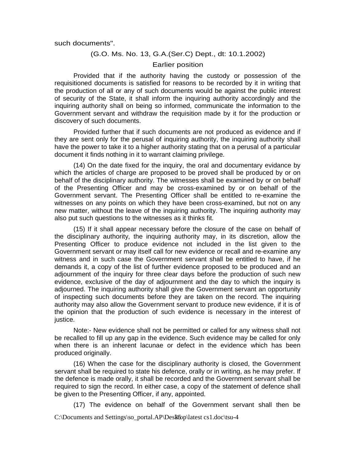such documents".

#### (G.O. Ms. No. 13, G.A.(Ser.C) Dept., dt: 10.1.2002)

#### Earlier position

Provided that if the authority having the custody or possession of the requisitioned documents is satisfied for reasons to be recorded by it in writing that the production of all or any of such documents would be against the public interest of security of the State, it shall inform the inquiring authority accordingly and the inquiring authority shall on being so informed, communicate the information to the Government servant and withdraw the requisition made by it for the production or discovery of such documents.

Provided further that if such documents are not produced as evidence and if they are sent only for the perusal of inquiring authority, the inquiring authority shall have the power to take it to a higher authority stating that on a perusal of a particular document it finds nothing in it to warrant claiming privilege.

(14) On the date fixed for the inquiry, the oral and documentary evidance by which the articles of charge are proposed to be proved shall be produced by or on behalf of the disciplinary authority. The witnesses shall be examined by or on behalf of the Presenting Officer and may be cross-examined by or on behalf of the Government servant. The Presenting Officer shall be entitled to re-examine the witnesses on any points on which they have been cross-examined, but not on any new matter, without the leave of the inquiring authority. The inquiring authority may also put such questions to the witnesses as it thinks fit.

(15) If it shall appear necessary before the closure of the case on behalf of the disciplinary authority, the inquiring authority may, in its discretion, allow the Presenting Officer to produce evidence not included in the list given to the Government servant or may itself call for new evidence or recall and re-examine any witness and in such case the Government servant shall be entitled to have, if he demands it, a copy of the list of further evidence proposed to be produced and an adjournment of the inquiry for three clear days before the production of such new evidence, exclusive of the day of adjournment and the day to which the inquiry is adjourned. The inquiring authority shall give the Government servant an opportunity of inspecting such documents before they are taken on the record. The inquiring authority may also allow the Government servant to produce new evidence, if it is of the opinion that the production of such evidence is necessary in the interest of justice.

Note:- New evidence shall not be permitted or called for any witness shall not be recalled to fill up any gap in the evidence. Such evidence may be called for only when there is an inherent lacunae or defect in the evidence which has been produced originally.

(16) When the case for the disciplinary authority is closed, the Government servant shall be required to state his defence, orally or in writing, as he may prefer. If the defence is made orally, it shall be recorded and the Government servant shall be required to sign the record. In either case, a copy of the statement of defence shall be given to the Presenting Officer, if any, appointed.

 $C:\overline{D}$  Documents and Settings\so\_portal.AP\Desktop\latest cs1.doc\tsu-4 (17) The evidence on behalf of the Government servant shall then be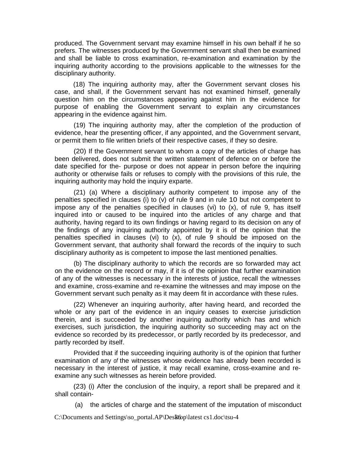produced. The Government servant may examine himself in his own behalf if he so prefers. The witnesses produced by the Government servant shall then be examined and shall be liable to cross examination, re-examination and examination by the inquiring authority according to the provisions applicable to the witnesses for the disciplinary authority.

(18) The inquiring authority may, after the Government servant closes his case, and shall, if the Government servant has not examined himself, generally question him on the circumstances appearing against him in the evidence for purpose of enabling the Government servant to explain any circumstances appearing in the evidence against him.

(19) The inquiring authority may, after the completion of the production of evidence, hear the presenting officer, if any appointed, and the Government servant, or permit them to file written briefs of their respective cases, if they so desire.

(20) If the Government servant to whom a copy of the articles of charge has been delivered, does not submit the written statement of defence on or before the date specified for the- purpose or does not appear in person before the inquiring authority or otherwise fails or refuses to comply with the provisions of this rule, the inquiring authority may hold the inquiry exparte.

(21) (a) Where a disciplinary authority competent to impose any of the penalties specified in clauses (i) to (v) of rule 9 and in rule 10 but not competent to impose any of the penalties specified in clauses (vi) to (x), of rule 9, has itself inquired into or caused to be inquired into the articles of any charge and that authority, having regard to its own findings or having regard to its decision on any of the findings of any inquiring authority appointed by it is of the opinion that the penalties specified in clauses (vi) to (x), of rule 9 should be imposed on the Government servant, that authority shall forward the records of the inquiry to such disciplinary authority as is competent to impose the last mentioned penalties.

(b) The disciplinary authority to which the records are so forwarded may act on the evidence on the record or may, if it is of the opinion that further examination of any of the witnesses is necessary in the interests of justice, recall the witnesses and examine, cross-examine and re-examine the witnesses and may impose on the Government servant such penalty as it may deem fit in accordance with these rules.

(22) Whenever an inquiring aurhority, after having heard, and recorded the whole or any part of the evidence in an inquiry ceases to exercise jurisdiction therein, and is succeeded by another inquiring authority which has and which exercises, such jurisdiction, the inquiring authority so succeeding may act on the evidence so recorded by its predecessor, or partly recorded by its predecessor, and partly recorded by itself.

Provided that if the succeeding inquiring authority is of the opinion that further examination of any of the witnesses whose evidence has already been recorded is necessary in the interest of justice, it may recall examine, cross-examine and reexamine any such witnesses as herein before provided.

(23) (i) After the conclusion of the inquiry, a report shall be prepared and it shall contain-

(a) the articles of charge and the statement of the imputation of misconduct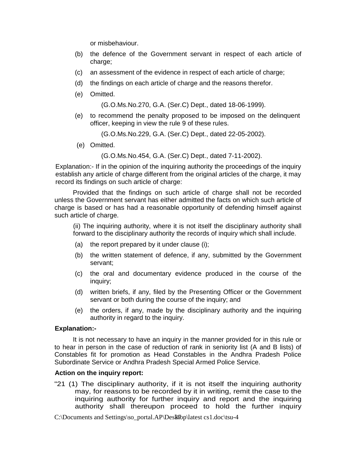or misbehaviour.

- (b) the defence of the Government servant in respect of each article of charge;
- (c) an assessment of the evidence in respect of each article of charge;
- (d) the findings on each article of charge and the reasons therefor.
- (e) Omitted.

(G.O.Ms.No.270, G.A. (Ser.C) Dept., dated 18-06-1999).

(e) to recommend the penalty proposed to be imposed on the delinquent officer, keeping in view the rule 9 of these rules.

(G.O.Ms.No.229, G.A. (Ser.C) Dept., dated 22-05-2002).

(e) Omitted.

(G.O.Ms.No.454, G.A. (Ser.C) Dept., dated 7-11-2002).

Explanation:- If in the opinion of the inquiring authority the proceedings of the inquiry establish any article of charge different from the original articles of the charge, it may record its findings on such article of charge:

Provided that the findings on such article of charge shall not be recorded unless the Government servant has either admitted the facts on which such article of charge is based or has had a reasonable opportunity of defending himself against such article of charge.

(ii) The inquiring authority, where it is not itself the disciplinary authority shall forward to the disciplinary authority the records of inquiry which shall include.

- (a) the report prepared by it under clause (i);
- (b) the written statement of defence, if any, submitted by the Government servant;
- (c) the oral and documentary evidence produced in the course of the inquiry;
- (d) written briefs, if any, filed by the Presenting Officer or the Government servant or both during the course of the inquiry; and
- (e) the orders, if any, made by the disciplinary authority and the inquiring authority in regard to the inquiry.

#### **Explanation:-**

It is not necessary to have an inquiry in the manner provided for in this rule or to hear in person in the case of reduction of rank in seniority list (A and B lists) of Constables fit for promotion as Head Constables in the Andhra Pradesh Police Subordinate Service or Andhra Pradesh Special Armed Police Service.

#### **Action on the inquiry report:**

"21 (1) The disciplinary authority, if it is not itself the inquiring authority may, for reasons to be recorded by it in writing, remit the case to the inquiring authority for further inquiry and report and the inquiring authority shall thereupon proceed to hold the further inquiry

 $C:\overline{D}$  C:\Documents and Settings\so\_portal.AP\Desktop\latest cs1.doc\tsu-4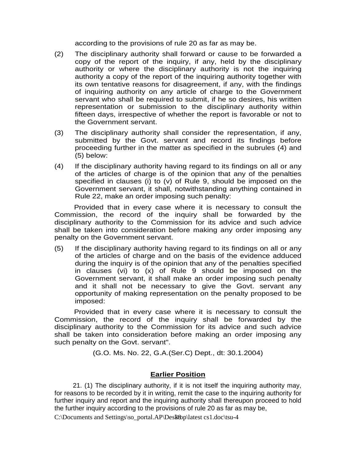according to the provisions of rule 20 as far as may be.

- (2) The disciplinary authority shall forward or cause to be forwarded a copy of the report of the inquiry, if any, held by the disciplinary authority or where the disciplinary authority is not the inquiring authority a copy of the report of the inquiring authority together with its own tentative reasons for disagreement, if any, with the findings of inquiring authority on any article of charge to the Government servant who shall be required to submit, if he so desires, his written representation or submission to the disciplinary authority within fifteen days, irrespective of whether the report is favorable or not to the Government servant.
- (3) The disciplinary authority shall consider the representation, if any, submitted by the Govt. servant and record its findings before proceeding further in the matter as specified in the subrules (4) and (5) below:
- (4) If the disciplinary authority having regard to its findings on all or any of the articles of charge is of the opinion that any of the penalties specified in clauses (i) to (v) of Rule 9, should be imposed on the Government servant, it shall, notwithstanding anything contained in Rule 22, make an order imposing such penalty:

 Provided that in every case where it is necessary to consult the Commission, the record of the inquiry shall be forwarded by the disciplinary authority to the Commission for its advice and such advice shall be taken into consideration before making any order imposing any penalty on the Government servant.

(5) If the disciplinary authority having regard to its findings on all or any of the articles of charge and on the basis of the evidence adduced during the inquiry is of the opinion that any of the penalties specified in clauses (vi) to (x) of Rule 9 should be imposed on the Government servant, it shall make an order imposing such penalty and it shall not be necessary to give the Govt. servant any opportunity of making representation on the penalty proposed to be imposed:

 Provided that in every case where it is necessary to consult the Commission, the record of the inquiry shall be forwarded by the disciplinary authority to the Commission for its advice and such advice shall be taken into consideration before making an order imposing any such penalty on the Govt. servant".

(G.O. Ms. No. 22, G.A.(Ser.C) Dept., dt: 30.1.2004)

## **Earlier Position**

21. (1) The disciplinary authority, if it is not itself the inquiring authority may, for reasons to be recorded by it in writing, remit the case to the inquiring authority for further inquiry and report and the inquiring authority shall thereupon proceed to hold the further inquiry according to the provisions of rule 20 as far as may be,

 $C:\overline{D}$  C:\Documents and Settings\so\_portal.AP\Desktop\latest cs1.doc\tsu-4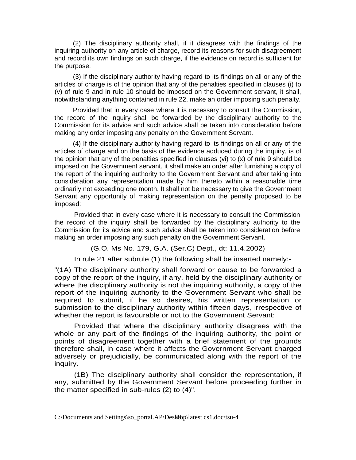(2) The disciplinary authority shall, if it disagrees with the findings of the inquiring authority on any article of charge, record its reasons for such disagreement and record its own findings on such charge, if the evidence on record is sufficient for the purpose.

(3) If the disciplinary authority having regard to its findings on all or any of the articles of charge is of the opinion that any of the penalties specified in clauses (i) to (v) of rule 9 and in rule 10 should be imposed on the Government servant, it shall, notwithstanding anything contained in rule 22, make an order imposing such penalty.

Provided that in every case where it is necessary to consult the Commission, the record of the inquiry shall be forwarded by the disciplinary authority to the Commission for its advice and such advice shall be taken into consideration before making any order imposing any penalty on the Government Servant.

(4) If the disciplinary authority having regard to its findings on all or any of the articles of charge and on the basis of the evidence adduced during the inquiry, is of the opinion that any of the penalties specified in clauses (vi) to (x) of rule 9 should be imposed on the Government servant, it shall make an order after furnishing a copy of the report of the inquiring authority to the Government Servant and after taking into consideration any representation made by him thereto within a reasonable time ordinarily not exceeding one month. It shall not be necessary to give the Government Servant any opportunity of making representation on the penalty proposed to be imposed:

 Provided that in every case where it is necessary to consult the Commission the record of the inquiry shall be forwarded by the disciplinary authority to the Commission for its advice and such advice shall be taken into consideration before making an order imposing any such penalty on the Government Servant.

(G.O. Ms No. 179, G.A. (Ser.C) Dept., dt: 11.4.2002)

In rule 21 after subrule (1) the following shall be inserted namely:-

"(1A) The disciplinary authority shall forward or cause to be forwarded a copy of the report of the inquiry, if any, held by the disciplinary authority or where the disciplinary authority is not the inquiring authority, a copy of the report of the inquiring authority to the Government Servant who shall be required to submit, if he so desires, his written representation or submission to the disciplinary authority within fifteen days, irrespective of whether the report is favourable or not to the Government Servant:

 Provided that where the disciplinary authority disagrees with the whole or any part of the findings of the inquiring authority, the point or points of disagreement together with a brief statement of the grounds therefore shall, in case where it affects the Government Servant charged adversely or prejudicially, be communicated along with the report of the inquiry.

 (1B) The disciplinary authority shall consider the representation, if any, submitted by the Government Servant before proceeding further in the matter specified in sub-rules (2) to (4)".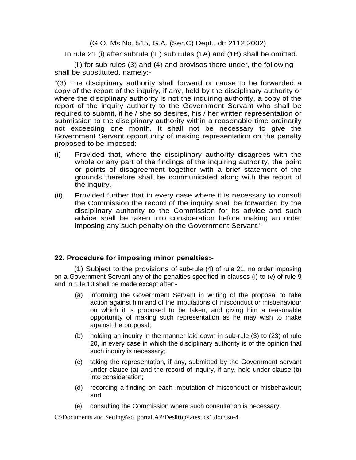(G.O. Ms No. 515, G.A. (Ser.C) Dept., dt: 2112.2002)

In rule 21 (i) after subrule (1 ) sub rules (1A) and (1B) shall be omitted.

 (ii) for sub rules (3) and (4) and provisos there under, the following shall be substituted, namely:-

"(3) The disciplinary authority shall forward or cause to be forwarded a copy of the report of the inquiry, if any, held by the disciplinary authority or where the disciplinary authority is not the inquiring authority, a copy of the report of the inquiry authority to the Government Servant who shall be required to submit, if he / she so desires, his / her written representation or submission to the disciplinary authority within a reasonable time ordinarily not exceeding one month. It shall not be necessary to give the Government Servant opportunity of making representation on the penalty proposed to be imposed:

- (i) Provided that, where the disciplinary authority disagrees with the whole or any part of the findings of the inquiring authority, the point or points of disagreement together with a brief statement of the grounds therefore shall be communicated along with the report of the inquiry.
- (ii) Provided further that in every case where it is necessary to consult the Commission the record of the inquiry shall be forwarded by the disciplinary authority to the Commission for its advice and such advice shall be taken into consideration before making an order imposing any such penalty on the Government Servant."

## **22. Procedure for imposing minor penalties:-**

 (1) Subject to the provisions of sub-rule (4) of rule 21, no order imposing on a Government Servant any of the penalties specified in clauses (i) to (v) of rule 9 and in rule 10 shall be made except after:-

- (a) informing the Government Servant in writing of the proposal to take action against him and of the imputations of misconduct or misbehaviour on which it is proposed to be taken, and giving him a reasonable opportunity of making such representation as he may wish to make against the proposal;
- (b) holding an inquiry in the manner laid down in sub-rule (3) to (23) of rule 20, in every case in which the disciplinary authority is of the opinion that such inquiry is necessary;
- (c) taking the representation, if any, submitted by the Government servant under clause (a) and the record of inquiry, if any. held under clause (b) into consideration;
- (d) recording a finding on each imputation of misconduct or misbehaviour; and
- (e) consulting the Commission where such consultation is necessary.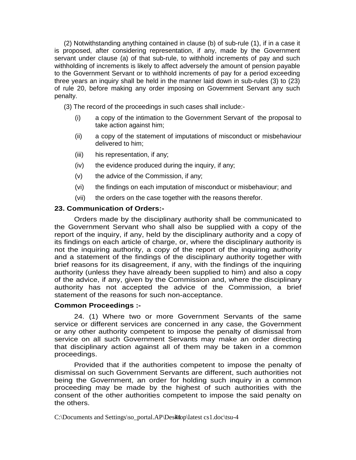(2) Notwithstanding anything contained in clause (b) of sub-rule (1), if in a case it is proposed, after considering representation, if any, made by the Government servant under cIause (a) of that sub-rule, to withhold increments of pay and such withholding of increments is likely to affect adversely the amount of pension payable to the Government Servant or to withhold increments of pay for a period exceeding three years an inquiry shall be held in the manner laid down in sub-rules (3) to (23) of rule 20, before making any order imposing on Government Servant any such penalty.

(3) The record of the proceedings in such cases shall include:-

- (i) a copy of the intimation to the Government Servant of the proposal to take action against him;
- (ii) a copy of the statement of imputations of misconduct or misbehaviour delivered to him;
- (iii) his representation, if any;
- (iv) the evidence produced during the inquiry, if any;
- (v) the advice of the Commission, if any;
- (vi) the findings on each imputation of misconduct or misbehaviour; and
- (vii) the orders on the case together with the reasons therefor.

## **23. Communication of Orders:-**

 Orders made by the disciplinary authority shall be communicated to the Government Servant who shall also be supplied with a copy of the report of the inquiry, if any, held by the disciplinary authority and a copy of its findings on each article of charge, or, where the disciplinary authority is not the inquiring authority, a copy of the report of the inquiring authority and a statement of the findings of the disciplinary authority together with brief reasons for its disagreement, if any, with the findings of the inquiring authority (unless they have already been supplied to him) and also a copy of the advice, if any, given by the Commission and, where the disciplinary authority has not accepted the advice of the Commission, a brief statement of the reasons for such non-acceptance.

#### **Common Proceedings :-**

 24. (1) Where two or more Government Servants of the same service or different services are concerned in any case, the Government or any other authority competent to impose the penalty of dismissal from service on all such Government Servants may make an order directing that disciplinary action against all of them may be taken in a common proceedings.

 Provided that if the authorities competent to impose the penalty of dismissal on such Government Servants are different, such authorities not being the Government, an order for holding such inquiry in a common proceeding may be made by the highest of such authorities with the consent of the other authorities competent to impose the said penalty on the others.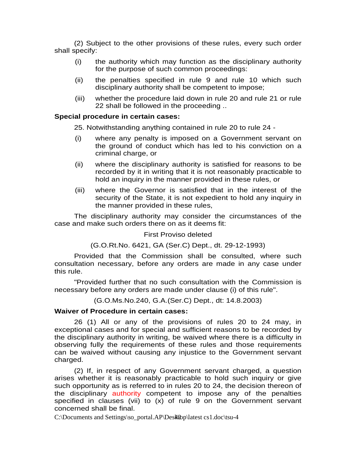(2) Subject to the other provisions of these rules, every such order shall specify:

- (i) the authority which may function as the disciplinary authority for the purpose of such common proceedings:
- (ii) the penalties specified in rule 9 and rule 10 which such disciplinary authority shall be competent to impose;
- (iii) whether the procedure laid down in rule 20 and rule 21 or rule 22 shall be followed in the proceeding ..

#### **Special procedure in certain cases:**

25. Notwithstanding anything contained in rule 20 to rule 24 -

- (i) where any penalty is imposed on a Government servant on the ground of conduct which has led to his conviction on a criminal charge, or
- (ii) where the disciplinary authority is satisfied for reasons to be recorded by it in writing that it is not reasonably practicable to hold an inquiry in the manner provided in these rules, or
- (iii) where the Governor is satisfied that in the interest of the security of the State, it is not expedient to hold any inquiry in the manner provided in these rules,

 The disciplinary authority may consider the circumstances of the case and make such orders there on as it deems fit:

#### First Proviso deleted

(G.O.Rt.No. 6421, GA (Ser.C) Dept., dt. 29-12-1993)

 Provided that the Commission shall be consulted, where such consultation necessary, before any orders are made in any case under this rule.

 "Provided further that no such consultation with the Commission is necessary before any orders are made under clause (i) of this rule".

(G.O.Ms.No.240, G.A.(Ser.C) Dept., dt: 14.8.2003)

#### **Waiver of Procedure in certain cases:**

 26 (1) All or any of the provisions of rules 20 to 24 may, in exceptional cases and for special and sufficient reasons to be recorded by the disciplinary authority in writing, be waived where there is a difficulty in observing fully the requirements of these rules and those requirements can be waived without causing any injustice to the Government servant charged.

 (2) If, in respect of any Government servant charged, a question arises whether it is reasonably practicable to hold such inquiry or give such opportunity as is referred to in rules 20 to 24, the decision thereon of the disciplinary authority competent to impose any of the penalties specified in clauses (vii) to (x) of rule 9 on the Government servant concerned shall be final.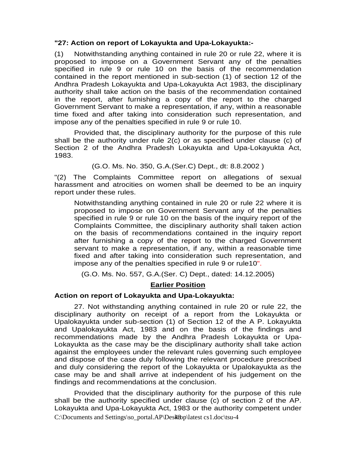## **"27: Action on report of Lokayukta and Upa-Lokayukta:-**

(1) Notwithstanding anything contained in rule 20 or rule 22, where it is proposed to impose on a Government Servant any of the penalties specified in rule 9 or rule 10 on the basis of the recommendation contained in the report mentioned in sub-section (1) of section 12 of the Andhra Pradesh Lokayukta and Upa-Lokayukta Act 1983, the disciplinary authority shall take action on the basis of the recommendation contained in the report, after furnishing a copy of the report to the charged Government Servant to make a representation, if any, within a reasonable time fixed and after taking into consideration such representation, and impose any of the penalties specified in rule 9 or rule 10.

 Provided that, the disciplinary authority for the purpose of this rule shall be the authority under rule 2(c) or as specified under clause (c) of Section 2 of the Andhra Pradesh Lokayukta and Upa-Lokayukta Act, 1983.

(G.O. Ms. No. 350, G.A.(Ser.C) Dept., dt: 8.8.2002 )

"(2) The Complaints Committee report on allegations of sexual harassment and atrocities on women shall be deemed to be an inquiry report under these rules.

 Notwithstanding anything contained in rule 20 or rule 22 where it is proposed to impose on Government Servant any of the penalties specified in rule 9 or rule 10 on the basis of the inquiry report of the Complaints Committee, the disciplinary authority shall taken action on the basis of recommendations contained in the inquiry report after furnishing a copy of the report to the charged Government servant to make a representation, if any, within a reasonable time fixed and after taking into consideration such representation, and impose any of the penalties specified in rule 9 or rule10".

(G.O. Ms. No. 557, G.A.(Ser. C) Dept., dated: 14.12.2005)

## **Earlier Position**

#### **Action on report of Lokayukta and Upa-Lokayukta:**

 27. Not withstanding anything contained in rule 20 or rule 22, the disciplinary authority on receipt of a report from the Lokayukta or Upalokayukta under sub-section (1) of Section 12 of the A P. Lokayukta and Upalokayukta Act, 1983 and on the basis of the findings and recommendations made by the Andhra Pradesh Lokayukta or Upa-Lokayukta as the case may be the disciplinary authority shall take action against the employees under the relevant rules governing such employee and dispose of the case duly following the relevant procedure prescribed and duly considering the report of the Lokayukta or Upalokayukta as the case may be and shall arrive at independent of his judgement on the findings and recommendations at the conclusion.

 $C:\overline{D}$  C:\Documents and Settings\so\_portal.AP\Desktop\latest cs1.doc\tsu-4 Provided that the disciplinary authority for the purpose of this rule shall be the authority specified under clause (c) of section 2 of the AP. Lokayukta and Upa-Lokayukta Act, 1983 or the authority competent under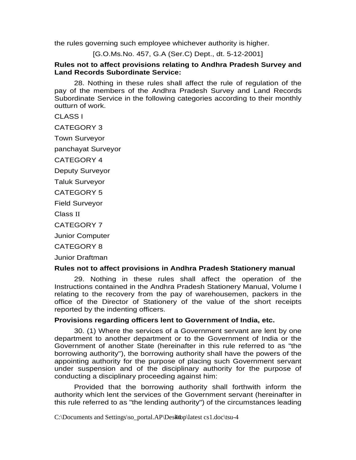the rules governing such employee whichever authority is higher.

[G.O.Ms.No. 457, G.A (Ser.C) Dept., dt. 5-12-2001]

#### **Rules not to affect provisions relating to Andhra Pradesh Survey and Land Records Subordinate Service:**

 28. Nothing in these rules shall affect the rule of regulation of the pay of the members of the Andhra Pradesh Survey and Land Records Subordinate Service in the following categories according to their monthly outturn of work.

CLASS I

CATEGORY 3

Town Surveyor

panchayat Surveyor

CATEGORY 4

Deputy Surveyor

Taluk Surveyor

CATEGORY 5

Field Surveyor

Class II

CATEGORY 7

Junior Computer

CATEGORY 8

Junior Draftman

#### **Rules not to affect provisions in Andhra Pradesh Stationery manual**

 29. Nothing in these rules shall affect the operation of the Instructions contained in the Andhra Pradesh Stationery Manual, Volume I relating to the recovery from the pay of warehousemen, packers in the office of the Director of Stationery of the value of the short receipts reported by the indenting officers.

#### **Provisions regarding officers lent to Government of India, etc.**

 30. (1) Where the services of a Government servant are lent by one department to another department or to the Government of India or the Government of another State (hereinafter in this rule referred to as "the borrowing authority"), the borrowing authority shall have the powers of the appointing authority for the purpose of placing such Government servant under suspension and of the disciplinary authority for the purpose of conducting a disciplinary proceeding against him:

 Provided that the borrowing authority shall forthwith inform the authority which lent the services of the Government servant (hereinafter in this rule referred to as "the lending authority") of the circumstances leading

C:\Documents and Settings\so\_portal.AP\Des\t\$up\latest cs1.doc\tsu-4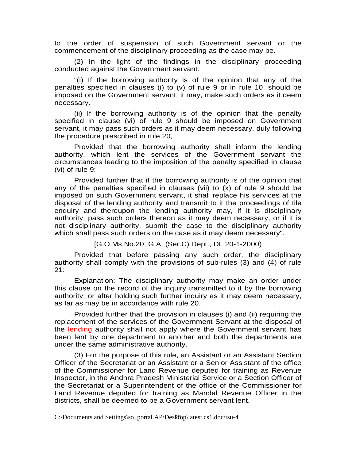to the order of suspension of such Government servant or the commencement of the disciplinary proceeding as the case may be.

 (2) In the light of the findings in the disciplinary proceeding conducted against the Government servant:

 "(i) If the borrowing authority is of the opinion that any of the penalties specified in clauses (i) to (v) of rule 9 or in rule 10, should be imposed on the Government servant, it may, make such orders as it deem necessary.

 (ii) If the borrowing authority is of the opinion that the penalty specified in clause (vi) of rule 9 should be imposed on Government servant, it may pass such orders as it may deem necessary, duly following the procedure prescribed in rule 20,

 Provided that the borrowing authority shall inform the lending authority, which lent the services of the Government servant the circumstances leading to the imposition of the penalty specified in clause (vi) of rule 9:

 Provided further that if the borrowing authority is of the opinion that any of the penalties specified in clauses (vii) to  $(x)$  of rule 9 should be imposed on such Government servant, it shall replace his services at the disposal of the lending authority and transmit to it the proceedings of tile enquiry and thereupon the lending authority may, if it is disciplinary authority, pass such orders thereon as it may deem necessary, or if it is not disciplinary authority, submit the case to the disciplinary authority which shall pass such orders on the case as it may deem necessary".

[G.O.Ms.No.20, G.A. (Ser.C) Dept., Dt. 20-1-2000)

 Provided that before passing any such order, the disciplinary authority shall comply with the provisions of sub-rules (3) and (4) of rule 21:

 Explanation: The disciplinary authority may make an order under this clause on the record of the inquiry transmitted to it by the borrowing authority, or after holding such further inquiry as it may deem necessary, as far as may be in accordance with rule 20.

 Provided further that the provision in clauses (i) and (ii) requiring the replacement of the services of the Government Servant at the disposal of the lending authority shall not apply where the Government servant has been lent by one department to another and both the departments are under the same administrative authority.

 (3) For the purpose of this rule, an Assistant or an Assistant Section Officer of the Secretariat or an Assistant or a Senior Assistant of the office of the Commissioner for Land Revenue deputed for training as Revenue Inspector, in the Andhra Pradesh Ministerial Service or a Section Officer of the Secretariat or a Superintendent of the office of the Commissioner for Land Revenue deputed for training as Mandal Revenue Officer in the districts, shall be deemed to be a Government servant lent.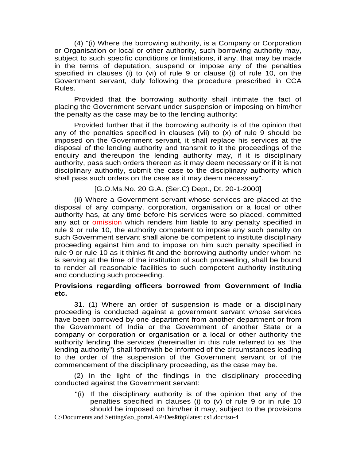(4) "(i) Where the borrowing authority, is a Company or Corporation or Organisation or local or other authority, such borrowing authority may, subject to such specific conditions or limitations, if any, that may be made in the terms of deputation, suspend or impose any of the penalties specified in clauses (i) to (vi) of rule 9 or clause (i) of rule 10, on the Government servant, duly following the procedure prescribed in CCA Rules.

 Provided that the borrowing authority shall intimate the fact of placing the Government servant under suspension or imposing on him/her the penalty as the case may be to the lending authority:

 Provided further that if the borrowing authority is of the opinion that any of the penalties specified in clauses (vii) to  $(x)$  of rule 9 should be imposed on the Government servant, it shall replace his services at the disposal of the lending authority and transmit to it the proceedings of the enquiry and thereupon the lending authority may, if it is disciplinary authority, pass such orders thereon as it may deem necessary or if it is not disciplinary authority, submit the case to the disciplinary authority which shall pass such orders on the case as it may deem necessary".

[G.O.Ms.No. 20 G.A. (Ser.C) Dept., Dt. 20-1-2000]

 (ii) Where a Government servant whose services are placed at the disposal of any company, corporation, organisation or a local or other authority has, at any time before his services were so placed, committed any act or omission which renders him liable to any penalty specified in rule 9 or rule 10, the authority competent to impose any such penalty on such Government servant shall alone be competent to institute disciplinary proceeding against him and to impose on him such penalty specified in rule 9 or rule 10 as it thinks fit and the borrowing authority under whom he is serving at the time of the institution of such proceeding, shall be bound to render all reasonable facilities to such competent authority instituting and conducting such proceeding.

## **Provisions regarding officers borrowed from Government of India etc.**

 31. (1) Where an order of suspension is made or a disciplinary proceeding is conducted against a government servant whose services have been borrowed by one department from another department or from the Government of India or the Government of another State or a company or corporation or organisation or a local or other authority the authority lending the services (hereinafter in this rule referred to as "the lending authority") shall forthwith be informed of the circumstances leading to the order of the suspension of the Government servant or of the commencement of the disciplinary proceeding, as the case may be.

 (2) In the light of the findings in the disciplinary proceeding conducted against the Government servant:

"(i) If the disciplinary authority is of the opinion that any of the penalties specified in clauses (i) to (v) of rule 9 or in rule 10 should be imposed on him/her it may, subject to the provisions

 $C:\overline{D}$  C:\Documents and Settings\so\_portal.AP\Desktop\latest cs1.doc\tsu-4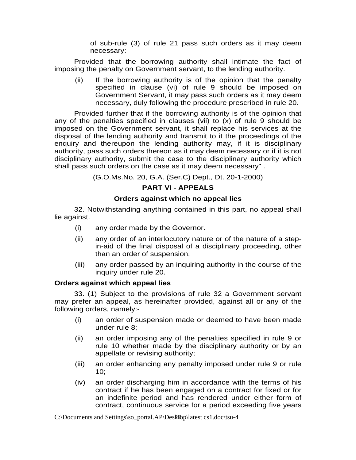of sub-rule (3) of rule 21 pass such orders as it may deem necessary:

 Provided that the borrowing authority shall intimate the fact of imposing the penalty on Government servant, to the lending authority.

(ii) If the borrowing authority is of the opinion that the penalty specified in clause (vi) of rule 9 should be imposed on Government Servant, it may pass such orders as it may deem necessary, duly following the procedure prescribed in rule 20.

 Provided further that if the borrowing authority is of the opinion that any of the penalties specified in clauses (vii) to (x) of rule 9 should be imposed on the Government servant, it shall replace his services at the disposal of the lending authority and transmit to it the proceedings of the enquiry and thereupon the lending authority may, if it is disciplinary authority, pass such orders thereon as it may deem necessary or if it is not disciplinary authority, submit the case to the disciplinary authority which shall pass such orders on the case as it may deem necessary" .

(G.O.Ms.No. 20, G.A. (Ser.C) Dept., Dt. 20-1-2000)

## **PART VI - APPEALS**

#### **Orders against which no appeal lies**

 32. Notwithstanding anything contained in this part, no appeal shall lie against.

- (i) any order made by the Governor.
- (ii) any order of an interlocutory nature or of the nature of a stepin-aid of the final disposal of a disciplinary proceeding, other than an order of suspension.
- (iii) any order passed by an inquiring authority in the course of the inquiry under rule 20.

#### **Orders against which appeal lies**

 33. (1) Subject to the provisions of rule 32 a Government servant may prefer an appeal, as hereinafter provided, against all or any of the following orders, namely:-

- (i) an order of suspension made or deemed to have been made under rule 8;
- (ii) an order imposing any of the penalties specified in rule 9 or rule 10 whether made by the disciplinary authority or by an appellate or revising authority;
- (iii) an order enhancing any penalty imposed under rule 9 or rule 10;
- (iv) an order discharging him in accordance with the terms of his contract if he has been engaged on a contract for fixed or for an indefinite period and has rendered under either form of contract, continuous service for a period exceeding five years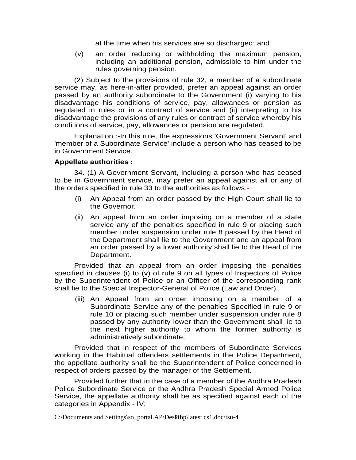at the time when his services are so discharged; and

(v) an order reducing or withholding the maximum pension, including an additional pension, admissible to him under the rules governing pension.

 (2) Subject to the provisions of rule 32, a member of a subordinate service may, as here-in-after provided, prefer an appeal against an order passed by an authority subordinate to the Government (i) varying to his disadvantage his conditions of service, pay, allowances or pension as regulated in rules or in a contract of service and (ii) interpreting to his disadvantage the provisions of any rules or contract of service whereby his conditions of service, pay, allowances or pension are regulated.

 Explanation :-In this rule, the expressions 'Government Servant' and 'member of a Subordinate Service' include a person who has ceased to be in Government Service.

#### **Appellate authorities :**

 34. (1) A Government Servant, including a person who has ceased to be in Government service, may prefer an appeal against all or any of the orders specified in rule 33 to the authorities as follows:-

- (i) An Appeal from an order passed by the High Court shall lie to the Governor.
- (ii) An appeal from an order imposing on a member of a state service any of the penalties specified in rule 9 or placing such member under suspension under rule 8 passed by the Head of the Department shall lie to the Government and an appeal from an order passed by a lower authority shall lie to the Head of the Department.

 Provided that an appeal from an order imposing the penalties specified in clauses (i) to (v) of rule 9 on all types of Inspectors of Police by the Superintendent of Police or an Officer of the corresponding rank shall lie to the Special Inspector-General of Police (Law and Order).

(iii) An Appeal from an order imposing on a member of a Subordinate Service any of the penalties Specified in rule 9 or rule 10 or placing such member under suspension under rule 8 passed by any authority lower than the Government shall lie to the next higher authority to whom the former authority is administratively subordinate;

 Provided that in respect of the members of Subordinate Services working in the Habitual offenders settlements in the Police Department, the appellate authority shall be the Superintendent of Police concerned in respect of orders passed by the manager of the Settlement.

 Provided further that in the case of a member of the Andhra Pradesh Police Subordinate Service or the Andhra Pradesh Special Armed Police Service, the appellate authority shall be as specified against each of the categories in Appendix - IV;

 $C:\)$ Documents and Settings\so\_portal.AP\Desktop\latest cs1.doc\tsu-4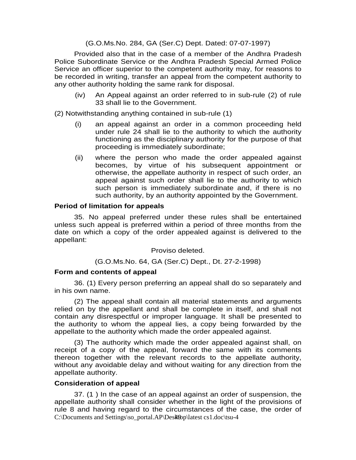(G.O.Ms.No. 284, GA (Ser.C) Dept. Dated: 07-07-1997)

 Provided also that in the case of a member of the Andhra Pradesh Police Subordinate Service or the Andhra Pradesh Special Armed Police Service an officer superior to the competent authority may, for reasons to be recorded in writing, transfer an appeal from the competent authority to any other authority holding the same rank for disposal.

(iv) An Appeal against an order referred to in sub-rule (2) of rule 33 shall lie to the Government.

(2) Notwithstanding anything contained in sub-rule (1)

- (i) an appeal against an order in a common proceeding held under rule 24 shall lie to the authority to which the authority functioning as the disciplinary authority for the purpose of that proceeding is immediately subordinate;
- (ii) where the person who made the order appealed against becomes, by virtue of his subsequent appointment or otherwise, the appellate authority in respect of such order, an appeal against such order shall lie to the authority to which such person is immediately subordinate and, if there is no such authority, by an authority appointed by the Government.

#### **Period of limitation for appeals**

 35. No appeal preferred under these rules shall be entertained unless such appeal is preferred within a period of three months from the date on which a copy of the order appealed against is delivered to the appellant:

Proviso deleted.

(G.O.Ms.No. 64, GA (Ser.C) Dept., Dt. 27-2-1998)

#### **Form and contents of appeal**

 36. (1) Every person preferring an appeal shall do so separately and in his own name.

 (2) The appeal shall contain all material statements and arguments relied on by the appellant and shall be complete in itself, and shall not contain any disrespectful or improper language. It shall be presented to the authority to whom the appeal lies, a copy being forwarded by the appellate to the authority which made the order appealed against.

 (3) The authority which made the order appealed against shall, on receipt of a copy of the appeal, forward the same with its comments thereon together with the relevant records to the appellate authority, without any avoidable delay and without waiting for any direction from the appellate authority.

#### **Consideration of appeal**

 $C:\overline{D}$  C:\Documents and Settings\so\_portal.AP\Desktop\latest cs1.doc\tsu-4 37. (1 ) In the case of an appeal against an order of suspension, the appellate authority shall consider whether in the light of the provisions of rule 8 and having regard to the circumstances of the case, the order of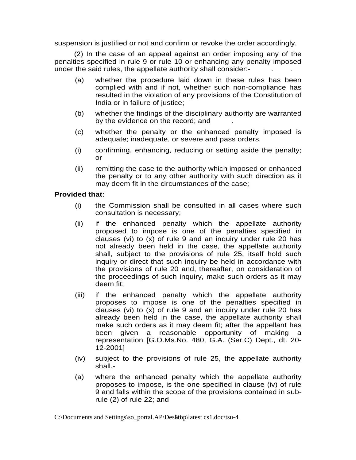suspension is justified or not and confirm or revoke the order accordingly.

 (2) In the case of an appeal against an order imposing any of the penalties specified in rule 9 or rule 10 or enhancing any penalty imposed under the said rules, the appellate authority shall consider:-

- (a) whether the procedure laid down in these rules has been complied with and if not, whether such non-compliance has resulted in the violation of any provisions of the Constitution of India or in failure of justice;
- (b) whether the findings of the disciplinary authority are warranted by the evidence on the record; and
- (c) whether the penalty or the enhanced penalty imposed is adequate; inadequate, or severe and pass orders.
- (i) confirming, enhancing, reducing or setting aside the penalty; or
- (ii) remitting the case to the authority which imposed or enhanced the penalty or to any other authority with such direction as it may deem fit in the circumstances of the case;

#### **Provided that:**

- (i) the Commission shall be consulted in all cases where such consultation is necessary;
- (ii) if the enhanced penalty which the appellate authority proposed to impose is one of the penalties specified in clauses (vi) to (x) of rule 9 and an inquiry under rule 20 has not already been held in the case, the appellate authority shall, subject to the provisions of rule 25, itself hold such inquiry or direct that such inquiry be held in accordance with the provisions of rule 20 and, thereafter, on consideration of the proceedings of such inquiry, make such orders as it may deem fit;
- (iii) if the enhanced penalty which the appellate authority proposes to impose is one of the penalties specified in clauses (vi) to (x) of rule 9 and an inquiry under rule 20 has already been held in the case, the appellate authority shall make such orders as it may deem fit; after the appellant has been given a reasonable opportunity of making a representation [G.O.Ms.No. 480, G.A. (Ser.C) Dept., dt. 20- 12-2001]
- (iv) subject to the provisions of rule 25, the appellate authority shall.-
- (a) where the enhanced penalty which the appellate authority proposes to impose, is the one specified in clause (iv) of rule 9 and falls within the scope of the provisions contained in subrule (2) of rule 22; and

 $C:\overline{D}$  C:\Documents and Settings\so\_portal.AP\Desktop\latest cs1.doc\tsu-4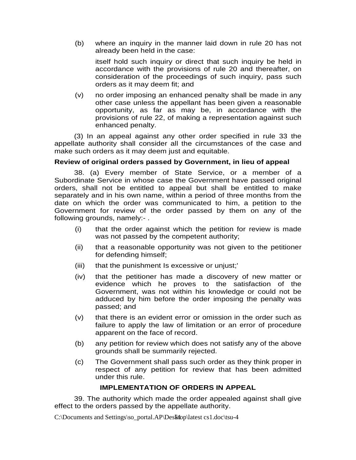(b) where an inquiry in the manner laid down in rule 20 has not already been held in the case:

 itself hold such inquiry or direct that such inquiry be held in accordance with the provisions of rule 20 and thereafter, on consideration of the proceedings of such inquiry, pass such orders as it may deem fit; and

(v) no order imposing an enhanced penalty shall be made in any other case unless the appellant has been given a reasonable opportunity, as far as may be, in accordance with the provisions of rule 22, of making a representation against such enhanced penalty.

 (3) In an appeal against any other order specified in rule 33 the appellate authority shall consider all the circumstances of the case and make such orders as it may deem just and equitable.

#### **Review of original orders passed by Government, in lieu of appeal**

 38. (a) Every member of State Service, or a member of a Subordinate Service in whose case the Government have passed original orders, shall not be entitled to appeal but shall be entitled to make separately and in his own name, within a period of three months from the date on which the order was communicated to him, a petition to the Government for review of the order passed by them on any of the following grounds, namely:- .

- (i) that the order against which the petition for review is made was not passed by the competent authority;
- (ii) that a reasonable opportunity was not given to the petitioner for defending himself;
- (iii) that the punishment Is excessive or unjust;'
- (iv) that the petitioner has made a discovery of new matter or evidence which he proves to the satisfaction of the Government, was not within his knowledge or could not be adduced by him before the order imposing the penalty was passed; and
- (v) that there is an evident error or omission in the order such as failure to apply the law of limitation or an error of procedure apparent on the face of record.
- (b) any petition for review which does not satisfy any of the above grounds shall be summarily rejected.
- (c) The Government shall pass such order as they think proper in respect of any petition for review that has been admitted under this rule.

#### **IMPLEMENTATION OF ORDERS IN APPEAL**

 39. The authority which made the order appealed against shall give effect to the orders passed by the appellate authority.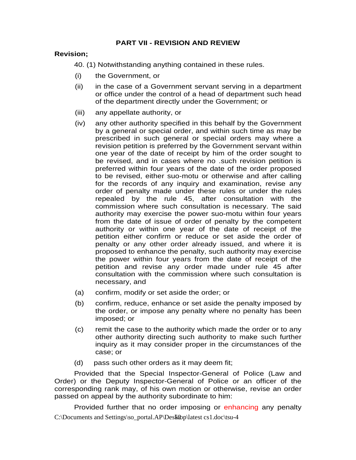## **PART VII - REVISION AND REVIEW**

#### **Revision;**

40. (1) Notwithstanding anything contained in these rules.

- (i) the Government, or
- (ii) in the case of a Government servant serving in a department or office under the control of a head of department such head of the department directly under the Government; or
- (iii) any appellate authority, or
- (iv) any other authority specified in this behalf by the Government by a general or special order, and within such time as may be prescribed in such general or special orders may where a revision petition is preferred by the Government servant within one year of the date of receipt by him of the order sought to be revised, and in cases where no .such revision petition is preferred within four years of the date of the order proposed to be revised, either suo-motu or otherwise and after calling for the records of any inquiry and examination, revise any order of penalty made under these rules or under the rules repealed by the rule 45, after consultation with the commission where such consultation is necessary. The said authority may exercise the power suo-motu within four years from the date of issue of order of penalty by the competent authority or within one year of the date of receipt of the petition either confirm or reduce or set aside the order of penalty or any other order already issued, and where it is proposed to enhance the penalty, such authority may exercise the power within four years from the date of receipt of the petition and revise any order made under rule 45 after consultation with the commission where such consultation is necessary, and
- (a) confirm, modify or set aside the order; or
- (b) confirm, reduce, enhance or set aside the penalty imposed by the order, or impose any penalty where no penalty has been imposed; or
- (c) remit the case to the authority which made the order or to any other authority directing such authority to make such further inquiry as it may consider proper in the circumstances of the case; or
- (d) pass such other orders as it may deem fit;

 Provided that the Special Inspector-General of Police (Law and Order) or the Deputy Inspector-General of Police or an officer of the corresponding rank may, of his own motion or otherwise, revise an order passed on appeal by the authority subordinate to him:

C:\Documents and Settings\so\_portal.AP\Des $\overline{\text{t}}$ 8 st cs1.doc\tsu-4 Provided further that no order imposing or enhancing any penalty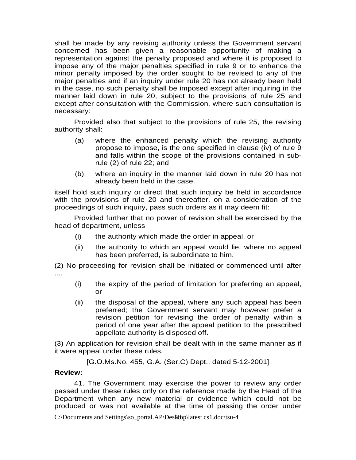shall be made by any revising authority unless the Government servant concerned has been given a reasonable opportunity of making a representation against the penalty proposed and where it is proposed to impose any of the major penalties specified in rule 9 or to enhance the minor penalty imposed by the order sought to be revised to any of the major penalties and if an inquiry under rule 20 has not already been held in the case, no such penalty shall be imposed except after inquiring in the manner laid down in rule 20, subject to the provisions of rule 25 and except after consultation with the Commission, where such consultation is necessary:

 Provided also that subject to the provisions of rule 25, the revising authority shall:

- (a) where the enhanced penalty which the revising authority propose to impose, is the one specified in clause (iv) of rule 9 and falls within the scope of the provisions contained in subrule (2) of rule 22; and
- (b) where an inquiry in the manner laid down in rule 20 has not already been held in the case.

itself hold such inquiry or direct that such inquiry be held in accordance with the provisions of rule 20 and thereafter, on a consideration of the proceedings of such inquiry, pass such orders as it may deem fit:

 Provided further that no power of revision shall be exercised by the head of department, unless

- (i) the authority which made the order in appeal, or
- (ii) the authority to which an appeal would lie, where no appeal has been preferred, is subordinate to him.

(2) No proceeding for revision shall be initiated or commenced until after ....

- (i) the expiry of the period of limitation for preferring an appeal, or
- (ii) the disposal of the appeal, where any such appeal has been preferred; the Government servant may however prefer a revision petition for revising the order of penalty within a period of one year after the appeal petition to the prescribed appellate authority is disposed off.

(3) An application for revision shall be dealt with in the same manner as if it were appeal under these rules.

[G.O.Ms.No. 455, G.A. (Ser.C) Dept., dated 5-12-2001]

#### **Review:**

 41. The Government may exercise the power to review any order passed under these rules only on the reference made by the Head of the Department when any new material or evidence which could not be produced or was not available at the time of passing the order under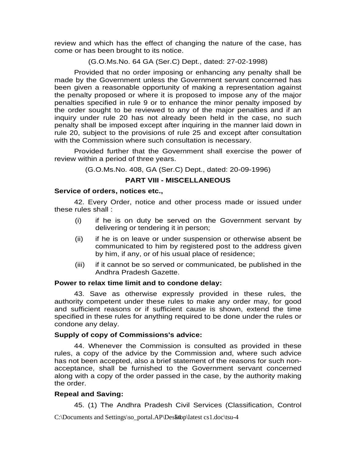review and which has the effect of changing the nature of the case, has come or has been brought to its notice.

(G.O.Ms.No. 64 GA (Ser.C) Dept., dated: 27-02-1998)

 Provided that no order imposing or enhancing any penalty shall be made by the Government unless the Government servant concerned has been given a reasonable opportunity of making a representation against the penalty proposed or where it is proposed to impose any of the major penalties specified in rule 9 or to enhance the minor penalty imposed by the order sought to be reviewed to any of the major penalties and if an inquiry under rule 20 has not already been held in the case, no such penalty shall be imposed except after inquiring in the manner laid down in rule 20, subject to the provisions of rule 25 and except after consultation with the Commission where such consultation is necessary.

 Provided further that the Government shall exercise the power of review within a period of three years.

(G.O.Ms.No. 408, GA (Ser.C) Dept., dated: 20-09-1996)

## **PART VIII - MISCELLANEOUS**

#### **Service of orders, notices etc.,**

 42. Every Order, notice and other process made or issued under these rules shall :

- (i) if he is on duty be served on the Government servant by delivering or tendering it in person;
- (ii) if he is on leave or under suspension or otherwise absent be communicated to him by registered post to the address given by him, if any, or of his usual place of residence;
- (iii) if it cannot be so served or communicated, be published in the Andhra Pradesh Gazette.

#### **Power to relax time limit and to condone delay:**

 43. Save as otherwise expressly provided in these rules, the authority competent under these rules to make any order may, for good and sufficient reasons or if sufficient cause is shown, extend the time specified in these rules for anything required to be done under the rules or condone any delay.

#### **Supply of copy of Commissions's advice:**

 44. Whenever the Commission is consulted as provided in these rules, a copy of the advice by the Commission and, where such advice has not been accepted, also a brief statement of the reasons for such nonacceptance, shall be furnished to the Government servant concerned along with a copy of the order passed in the case, by the authority making the order.

## **Repeal and Saving:**

45. (1) The Andhra Pradesh Civil Services (Classification, Control

C:\Documents and Settings\so\_portal.AP\Des $\mathbf{\bar{a}}$ top\latest cs1.doc\tsu-4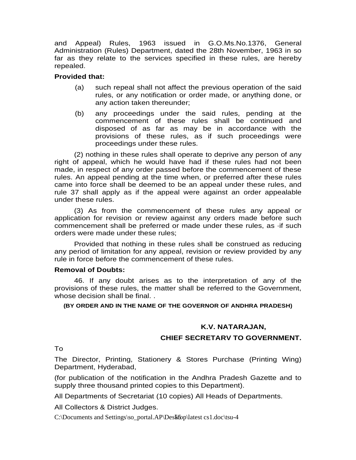and Appeal) Rules, 1963 issued in G.O.Ms.No.1376, General Administration (Rules) Department, dated the 28th November, 1963 in so far as they relate to the services specified in these rules, are hereby repealed.

#### **Provided that:**

- (a) such repeal shall not affect the previous operation of the said rules, or any notification or order made, or anything done, or any action taken thereunder;
- (b) any proceedings under the said rules, pending at the commencement of these rules shall be continued and disposed of as far as may be in accordance with the provisions of these rules, as if such proceedings were proceedings under these rules.

 (2) nothing in these rules shall operate to deprive any person of any right of appeal, which he would have had if these rules had not been made, in respect of any order passed before the commencement of these rules. An appeal pending at the time when, or preferred after these rules came into force shall be deemed to be an appeal under these rules, and rule 37 shall apply as if the appeal were against an order appealable under these rules.

 (3) As from the commencement of these rules any appeal or application for revision or review against any orders made before such commencement shall be preferred or made under these rules, as ·if such orders were made under these rules;

 Provided that nothing in these rules shall be construed as reducing any period of limitation for any appeal, revision or review provided by any rule in force before the commencement of these rules.

#### **Removal of Doubts:**

 46. If any doubt arises as to the interpretation of any of the provisions of these rules, the matter shall be referred to the Government, whose decision shall be final...

**(BY ORDER AND IN THE NAME OF THE GOVERNOR OF ANDHRA PRADESH)** 

#### **K.V. NATARAJAN,**

#### **CHIEF SECRETARV TO GOVERNMENT.**

To

The Director, Printing, Stationery & Stores Purchase (Printing Wing) Department, Hyderabad,

(for publication of the notification in the Andhra Pradesh Gazette and to supply three thousand printed copies to this Department).

All Departments of Secretariat (10 copies) All Heads of Departments.

All Collectors & District Judges.

 $C:\overline{D}$  C:\Documents and Settings\so\_portal.AP\Desktop\latest cs1.doc\tsu-4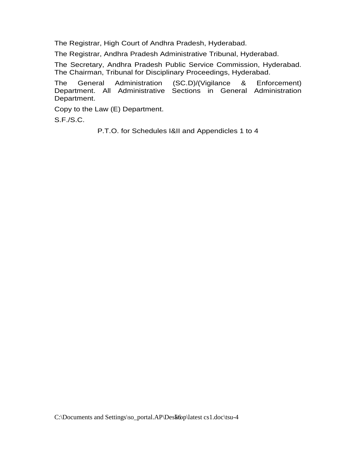The Registrar, High Court of Andhra Pradesh, Hyderabad.

The Registrar, Andhra Pradesh Administrative Tribunal, Hyderabad.

The Secretary, Andhra Pradesh Public Service Commission, Hyderabad. The Chairman, Tribunal for Disciplinary Proceedings, Hyderabad.

The General Administration (SC.D)/(Vigilance & Enforcement) Department. All Administrative Sections in General Administration Department.

Copy to the Law (E) Department.

S.F./S.C.

P.T.O. for Schedules I&II and Appendicles 1 to 4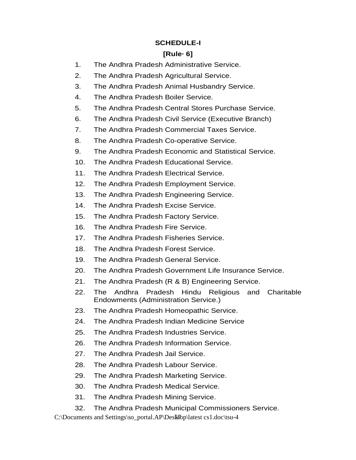## **SCHEDULE-I**

## **[Rule· 6]**

- 1. The Andhra Pradesh Administrative Service.
- 2. The Andhra Pradesh Agricultural Service.
- 3. The Andhra Pradesh Animal Husbandry Service.
- 4. The Andhra Pradesh Boiler Service.
- 5. The Andhra Pradesh Central Stores Purchase Service.
- 6. The Andhra Pradesh Civil Service (Executive Branch)
- 7. The Andhra Pradesh Commercial Taxes Service.
- 8. The Andhra Pradesh Co-operative Service.
- 9. The Andhra Pradesh Economic and Statistical Service.
- 10. The Andhra Pradesh Educational Service.
- 11. The Andhra Pradesh Electrical Service.
- 12. The Andhra Pradesh Employment Service.
- 13. The Andhra Pradesh Engineering Service.
- 14. The Andhra Pradesh Excise Service.
- 15. The Andhra Pradesh Factory Service.
- 16. The Andhra Pradesh Fire Service.
- 17. The Andhra Pradesh Fisheries Service.
- 18. The Andhra Pradesh Forest Service.
- 19. The Andhra Pradesh General Service.
- 20. The Andhra Pradesh Government Life Insurance Service.
- 21. The Andhra Pradesh (R & B) Engineering Service.
- 22. The Andhra Pradesh Hindu Religious and Charitable Endowments (Administration Service.)
- 23. The Andhra Pradesh Homeopathic Service.
- 24. The Andhra Pradesh Indian Medicine Service
- 25. The Andhra Pradesh Industries Service.
- 26. The Andhra Pradesh Information Service.
- 27. The Andhra Pradesh Jail Service.
- 28. The Andhra Pradesh Labour Service.
- 29. The Andhra Pradesh Marketing Service.
- 30. The Andhra Pradesh Medical Service.
- 31. The Andhra Pradesh Mining Service.
- 32. The Andhra Pradesh Municipal Commissioners Service.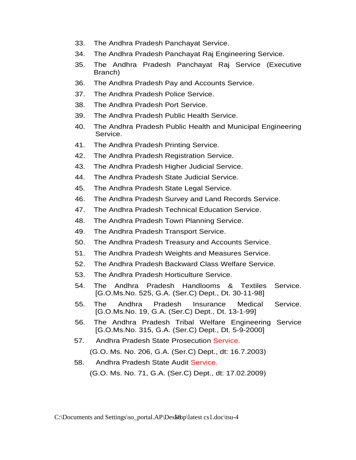- 33. The Andhra Pradesh Panchayat Service.
- 34. The Andhra Pradesh Panchayat Raj Engineering Service.
- 35. The Andhra Pradesh Panchayat Raj Service (Executive Branch)
- 36. The Andhra Pradesh Pay and Accounts Service.
- 37. The Andhra Pradesh Police Service.
- 38. The Andhra Pradesh Port Service.
- 39. The Andhra Pradesh Public Health Service.
- 40. The Andhra Pradesh Public Health and Municipal Engineering Service.
- 41. The Andhra Pradesh Printing Service.
- 42. The Andhra Pradesh Registration Service.
- 43. The Andhra Pradesh Higher Judicial Service.
- 44. The Andhra Pradesh State Judicial Service.
- 45. The Andhra Pradesh State Legal Service.
- 46. The Andhra Pradesh Survey and Land Records Service.
- 47. The Andhra Pradesh Technical Education Service.
- 48. The Andhra Pradesh Town Planning Service.
- 49. The Andhra Pradesh Transport Service.
- 50. The Andhra Pradesh Treasury and Accounts Service.
- 51. The Andhra Pradesh Weights and Measures Service.
- 52. The Andhra Pradesh Backward Class Welfare Service.
- 53. The Andhra Pradesh Horticulture Service.
- 54. The Andhra Pradesh Handlooms & Textiles Service. [G.O.Ms.No. 525, G.A. (Ser.C) Dept., Dt. 30-11-98]
- 55. The Andhra Pradesh Insurance Medical Service. [G.O.Ms.No. 19, G.A. (Ser.C) Dept., Dt. 13-1-99]
- 56. The Andhra Pradesh Tribal Welfare Engineering Service [G.O.Ms.No. 315, G.A. (Ser.C) Dept., Dt. 5-9-2000]
- 57. Andhra Pradesh State Prosecution Service. (G.O. Ms. No. 206, G.A. (Ser.C) Dept., dt: 16.7.2003)
- 58. Andhra Pradesh State Audit Service.

(G.O. Ms. No. 71, G.A. (Ser.C) Dept., dt: 17.02.2009)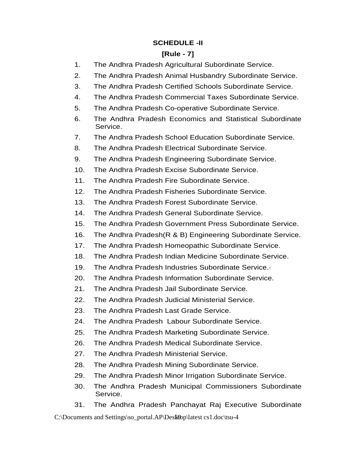## **SCHEDULE -II**

## **[Rule - 7]**

- 1. The Andhra Pradesh Agricultural Subordinate Service.
- 2. The Andhra Pradesh Animal Husbandry Subordinate Service.
- 3. The Andhra Pradesh Certified Schools Subordinate Service.
- 4. The Andhra Pradesh Commercial Taxes Subordinate Service.
- 5. The Andhra Pradesh Co-operative Subordinate Service.
- 6. The Andhra Pradesh Economics and Statistical Subordinate Service.
- 7. The Andhra Pradesh School Education Subordinate Service.
- 8. The Andhra Pradesh Electrical Subordinate Service.
- 9. The Andhra Pradesh Engineering Subordinate Service.
- 10. The Andhra Pradesh Excise Subordinate Service.
- 11. The Andhra Pradesh Fire Subordinate Service.
- 12. The Andhra Pradesh Fisheries Subordinate Service.
- 13. The Andhra Pradesh Forest Subordinate Service.
- 14. The Andhra Pradesh General Subordinate Service.
- 15. The Andhra Pradesh Government Press Subordinate Service.
- 16. The Andhra Pradesh(R & B) Engineering Subordinate Service.
- 17. The Andhra Pradesh Homeopathic Subordinate Service.
- 18. The Andhra Pradesh Indian Medicine Subordinate Service.
- 19. The Andhra Pradesh Industries Subordinate Service.·
- 20. The Andhra Pradesh Information Subordinate Service.
- 21. The Andhra Pradesh Jail Subordinate Service.
- 22. The Andhra Pradesh Judicial Ministerial Service.
- 23. The Andhra Pradesh Last Grade Service.
- 24. The Andhra Pradesh Labour Subordinate Service.
- 25. The Andhra Pradesh Marketing Subordinate Service.
- 26. The Andhra Pradesh Medical Subordinate Service.
- 27. The Andhra Pradesh Ministerial Service.
- 28. The Andhra Pradesh Mining Subordinate Service.
- 29. The Andhra Pradesh Minor Irrigation Subordinate Service.
- 30. The Andhra Pradesh Municipal Commissioners Subordinate Service.
- 31. The Andhra Pradesh Panchayat Raj Executive Subordinate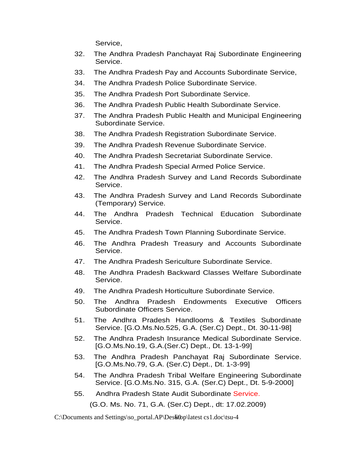Service,

- 32. The Andhra Pradesh Panchayat Raj Subordinate Engineering Service.
- 33. The Andhra Pradesh Pay and Accounts Subordinate Service,
- 34. The Andhra Pradesh Police Subordinate Service.
- 35. The Andhra Pradesh Port Subordinate Service.
- 36. The Andhra Pradesh Public Health Subordinate Service.
- 37. The Andhra Pradesh Public Health and Municipal Engineering Subordinate Service.
- 38. The Andhra Pradesh Registration Subordinate Service.
- 39. The Andhra Pradesh Revenue Subordinate Service.
- 40. The Andhra Pradesh Secretariat Subordinate Service.
- 41. The Andhra Pradesh Special Armed Police Service.
- 42. The Andhra Pradesh Survey and Land Records Subordinate Service.
- 43. The Andhra Pradesh Survey and Land Records Subordinate (Temporary) Service.
- 44. The Andhra Pradesh Technical Education Subordinate Service.
- 45. The Andhra Pradesh Town Planning Subordinate Service.
- 46. The Andhra Pradesh Treasury and Accounts Subordinate Service.
- 47. The Andhra Pradesh Sericulture Subordinate Service.
- 48. The Andhra Pradesh Backward Classes Welfare Subordinate Service.
- 49. The Andhra Pradesh Horticulture Subordinate Service.
- 50. The Andhra Pradesh Endowments Executive Officers Subordinate Officers Service.
- 51. The Andhra Pradesh Handlooms & Textiles Subordinate Service. [G.O.Ms.No.525, G.A. (Ser.C) Dept., Dt. 30-11-98]
- 52. The Andhra Pradesh Insurance Medical Subordinate Service. [G.O.Ms.No.19, G.A.(Ser.C) Dept., Dt. 13-1-99]
- 53. The Andhra Pradesh Panchayat Raj Subordinate Service. [G.O.Ms.No.79, G.A. (Ser.C) Dept., Dt. 1-3-99]
- 54. The Andhra Pradesh Tribal Welfare Engineering Subordinate Service. [G.O.Ms.No. 315, G.A. (Ser.C) Dept., Dt. 5-9-2000]
- 55. Andhra Pradesh State Audit Subordinate Service.

(G.O. Ms. No. 71, G.A. (Ser.C) Dept., dt: 17.02.2009)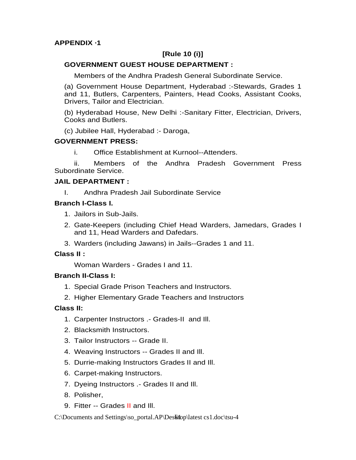## **[Rule 10 (i)]**

## **GOVERNMENT GUEST HOUSE DEPARTMENT :**

Members of the Andhra Pradesh General Subordinate Service.

(a) Government House Department, Hyderabad :-Stewards, Grades 1 and 11, Butlers, Carpenters, Painters, Head Cooks, Assistant Cooks, Drivers, Tailor and Electrician.

(b) Hyderabad House, New Delhi :-Sanitary Fitter, Electrician, Drivers, Cooks and Butlers.

(c) Jubilee Hall, Hyderabad :- Daroga,

## **GOVERNMENT PRESS:**

i. Office Establishment at Kurnool--Attenders.

 ii. Members of the Andhra Pradesh Government Press Subordinate Service.

#### **JAIL DEPARTMENT :**

I. Andhra Pradesh Jail Subordinate Service

## **Branch I-Class I.**

- 1. Jailors in Sub-Jails.
- 2. Gate-Keepers (including Chief Head Warders, Jamedars, Grades I and 11, Head Warders and Dafedars.
- 3. Warders (including Jawans) in Jails--Grades 1 and 11.

## **Class II :**

Woman Warders - Grades I and 11.

#### **Branch II-Class I:**

- 1. Special Grade Prison Teachers and Instructors.
- 2. Higher Elementary Grade Teachers and Instructors

## **Class II:**

- 1. Carpenter Instructors .- Grades-II and Ill.
- 2. Blacksmith Instructors.
- 3. Tailor Instructors -- Grade II.
- 4. Weaving Instructors -- Grades II and Ill.
- 5. Durrie-making Instructors Grades II and Ill.
- 6. Carpet-making Instructors.
- 7. Dyeing Instructors .- Grades II and Ill.
- 8. Polisher,
- 9. Fitter -- Grades II and III.